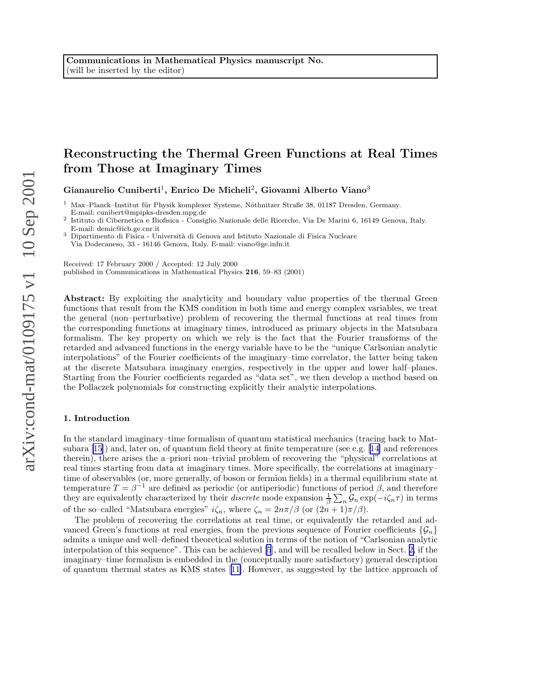# Reconstructing the Thermal Green Functions at Real Times from Those at Imaginary Times

Gianaurelio Cuniberti<sup>1</sup>, Enrico De Micheli<sup>2</sup>, Giovanni Alberto Viano<sup>3</sup>

 $1$  Max–Planck–Institut für Physik komplexer Systeme, Nöthnitzer Straße 38, 01187 Dresden, Germany. E-mail: cunibert@mpipks-dresden.mpg.de

2 Istituto di Cibernetica e Biofisica - Consiglio Nazionale delle Ricerche, Via De Marini 6, 16149 Genova, Italy. E-mail: demic@icb.ge.cnr.it

Dipartimento di Fisica - Università di Genova and Istituto Nazionale di Fisica Nucleare Via Dodecaneso, 33 - 16146 Genova, Italy. E-mail: viano@ge.infn.it

Received: 17 February 2000 / Accepted: 12 July 2000 published in Communications in Mathematical Physics 216, 59–83 (2001)

Abstract: By exploiting the analyticity and boundary value properties of the thermal Green functions that result from the KMS condition in both time and energy complex variables, we treat the general (non–perturbative) problem of recovering the thermal functions at real times from the corresponding functions at imaginary times, introduced as primary objects in the Matsubara formalism. The key property on which we rely is the fact that the Fourier transforms of the retarded and advanced functions in the energy variable have to be the "unique Carlsonian analytic interpolations" of the Fourier coefficients of the imaginary–time correlator, the latter being taken at the discrete Matsubara imaginary energies, respectively in the upper and lower half–planes. Starting from the Fourier coefficients regarded as "data set", we then develop a method based on the Pollaczek polynomials for constructing explicitly their analytic interpolations.

#### 1. Introduction

In the standard imaginary–time formalism of quantum statistical mechanics (tracing back to Matsubara [\[15](#page-22-0)]) and, later on, of quantum field theory at finite temperature (see e.g.[[14\]](#page-22-0) and references therein), there arises the a–priori non–trivial problem of recovering the "physical" correlations at real times starting from data at imaginary times. More specifically, the correlations at imaginary– time of observables (or, more generally, of boson or fermion fields) in a thermal equilibrium state at temperature  $T = \beta^{-1}$  are defined as periodic (or antiperiodic) functions of period  $\beta$ , and therefore they are equivalently characterized by their *discrete* mode expansion  $\frac{1}{\beta} \sum_n \mathcal{G}_n \exp(-i\zeta_n \tau)$  in terms of the so–called "Matsubara energies"  $i\zeta_n$ , where  $\zeta_n = 2n\pi/\beta$  (or  $(2n+1)\pi/\beta$ ).

The problem of recovering the correlations at real time, or equivalently the retarded and advanced Green's functions at real energies, from the previous sequence of Fourier coefficients  $\{\mathcal{G}_n\}$ admits a unique and well–defined theoretical solution in terms of the notion of "Carlsonian analytic interpolation of this sequence". This can be achieved [\[5](#page-22-0)], and will be recalled below in Sect. [2,](#page-4-0) if the imaginary–time formalism is embedded in the (conceptually more satisfactory) general description of quantum thermal states as KMS states[[11\]](#page-22-0). However, as suggested by the lattice approach of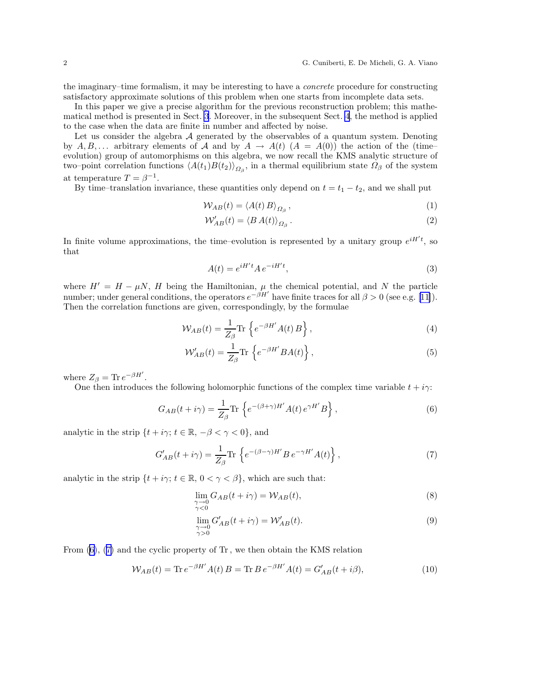the imaginary–time formalism, it may be interesting to have a concrete procedure for constructing satisfactory approximate solutions of this problem when one starts from incomplete data sets.

In this paper we give a precise algorithm for the previous reconstruction problem; this mathematical method is presented in Sect. [3](#page-8-0). Moreover, in the subsequent Sect. [4](#page-15-0), the method is applied to the case when the data are finite in number and affected by noise.

Let us consider the algebra  $A$  generated by the observables of a quantum system. Denoting by  $A, B, \ldots$  arbitrary elements of A and by  $A \to A(t)$   $(A = A(0))$  the action of the (timeevolution) group of automorphisms on this algebra, we now recall the KMS analytic structure of two–point correlation functions  $\langle A(t_1)B(t_2)\rangle_{\Omega_{\beta}}$ , in a thermal equilibrium state  $\Omega_{\beta}$  of the system at temperature  $T = \beta^{-1}$ .

By time–translation invariance, these quantities only depend on  $t = t_1 - t_2$ , and we shall put

$$
W_{AB}(t) = \langle A(t) \, B \rangle_{\Omega_{\beta}} \,, \tag{1}
$$

$$
\mathcal{W}_{AB}'(t) = \langle B \, A(t) \rangle_{\Omega_{\beta}} \,. \tag{2}
$$

In finite volume approximations, the time-evolution is represented by a unitary group  $e^{iH/t}$ , so that

$$
A(t) = e^{iH't} A e^{-iH't},\tag{3}
$$

where  $H' = H - \mu N$ , H being the Hamiltonian,  $\mu$  the chemical potential, and N the particle number;under general conditions, the operators  $e^{-\beta H'}$  have finite traces for all  $\beta > 0$  (see e.g. [[11\]](#page-22-0)). Then the correlation functions are given, correspondingly, by the formulae

$$
\mathcal{W}_{AB}(t) = \frac{1}{Z_{\beta}} \text{Tr} \left\{ e^{-\beta H'} A(t) B \right\},\tag{4}
$$

$$
\mathcal{W}_{AB}'(t) = \frac{1}{Z_{\beta}} \text{Tr} \left\{ e^{-\beta H'} B A(t) \right\},\tag{5}
$$

where  $Z_{\beta} = \text{Tr} e^{-\beta H'}$ .

One then introduces the following holomorphic functions of the complex time variable  $t + i\gamma$ :

$$
G_{AB}(t+i\gamma) = \frac{1}{Z_{\beta}} \text{Tr} \left\{ e^{-(\beta+\gamma)H'} A(t) e^{\gamma H'} B \right\},\tag{6}
$$

analytic in the strip  $\{t + i\gamma; t \in \mathbb{R}, -\beta < \gamma < 0\}$ , and

$$
G'_{AB}(t+i\gamma) = \frac{1}{Z_{\beta}} \text{Tr} \left\{ e^{-(\beta-\gamma)H'} B e^{-\gamma H'} A(t) \right\},\tag{7}
$$

analytic in the strip  $\{t + i\gamma; t \in \mathbb{R}, 0 < \gamma < \beta\}$ , which are such that:

$$
\lim_{\substack{\gamma \to 0 \\ \gamma < 0}} G_{AB}(t + i\gamma) = \mathcal{W}_{AB}(t),\tag{8}
$$

$$
\lim_{\substack{\gamma \to 0 \\ \gamma > 0}} G'_{AB}(t + i\gamma) = \mathcal{W}'_{AB}(t). \tag{9}
$$

From  $(6)$ ,  $(7)$  and the cyclic property of Tr, we then obtain the KMS relation

$$
W_{AB}(t) = \text{Tr} \, e^{-\beta H'} A(t) \, B = \text{Tr} \, B \, e^{-\beta H'} A(t) = G'_{AB}(t + i\beta),\tag{10}
$$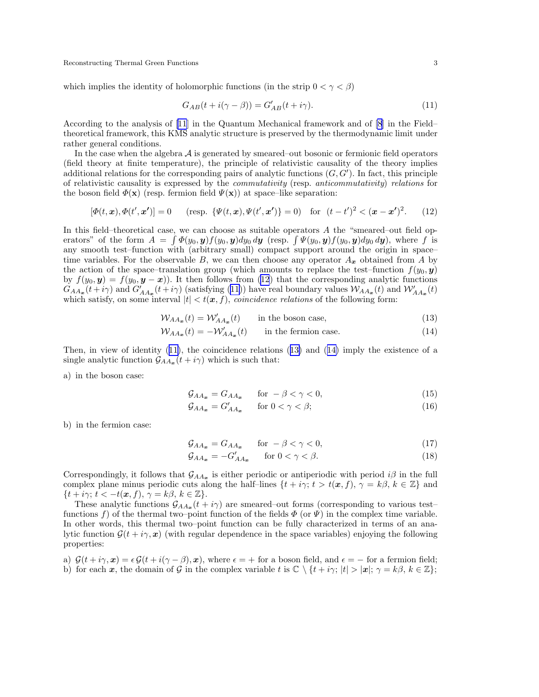which implies the identity of holomorphic functions (in the strip  $0 < \gamma < \beta$ )

$$
G_{AB}(t + i(\gamma - \beta)) = G'_{AB}(t + i\gamma).
$$
\n(11)

According to the analysis of [\[11](#page-22-0)] in the Quantum Mechanical framework and of [\[8](#page-22-0)] in the Field– theoretical framework, this KMS analytic structure is preserved by the thermodynamic limit under rather general conditions.

In the case when the algebra  $A$  is generated by smeared–out bosonic or fermionic field operators (field theory at finite temperature), the principle of relativistic causality of the theory implies additional relations for the corresponding pairs of analytic functions  $(G, G')$ . In fact, this principle of relativistic causality is expressed by the commutativity (resp. anticommutativity) relations for the boson field  $\Phi(\mathbf{x})$  (resp. fermion field  $\Psi(\mathbf{x})$ ) at space–like separation:

$$
[\Phi(t, \mathbf{x}), \Phi(t', \mathbf{x'})] = 0 \quad (\text{resp. } \{\Psi(t, \mathbf{x}), \Psi(t', \mathbf{x'})\} = 0) \quad \text{for } (t - t')^2 < (\mathbf{x} - \mathbf{x'})^2. \tag{12}
$$

In this field–theoretical case, we can choose as suitable operators  $A$  the "smeared–out field operators" of the form  $A = \int \Phi(y_0, y) f(y_0, y) dy_0 dy$  (resp.  $\int \Psi(y_0, y) f(y_0, y) dy_0 dy$ ), where f is any smooth test–function with (arbitrary small) compact support around the origin in space– time variables. For the observable B, we can then choose any operator  $A_x$  obtained from A by the action of the space–translation group (which amounts to replace the test–function  $f(y_0, y)$ ) by  $f(y_0, y) = f(y_0, y - x)$ . It then follows from (12) that the corresponding analytic functions  $G_{AA_{\bm{x}}}(t+i\gamma)$  and  $G'_{AA_{\bm{x}}}(t+i\gamma)$  (satisfying (11)) have real boundary values  $W_{AA_{\bm{x}}}(t)$  and  $W'_{AA_{\bm{x}}}(t)$ which satisfy, on some interval  $|t| < t(x, f)$ , *coincidence relations* of the following form:

$$
W_{AA_{\mathbf{w}}}(t) = W'_{AA_{\mathbf{w}}}(t) \qquad \text{in the boson case}, \tag{13}
$$

$$
W_{AA_x}(t) = -W'_{AA_x}(t) \qquad \text{in the fermion case.} \tag{14}
$$

Then, in view of identity (11), the coincidence relations (13) and (14) imply the existence of a single analytic function  $\mathcal{G}_{AA_{\boldsymbol{x}}}(t+i\gamma)$  which is such that:

a) in the boson case:

$$
\mathcal{G}_{AA_{\bm{x}}} = G_{AA_{\bm{x}}} \qquad \text{for } -\beta < \gamma < 0,\tag{15}
$$

$$
\mathcal{G}_{AA_{\bm{x}}} = G'_{AA_{\bm{x}}} \qquad \text{for } 0 < \gamma < \beta; \tag{16}
$$

b) in the fermion case:

$$
\mathcal{G}_{AA_{\bm{x}}} = G_{AA_{\bm{x}}} \qquad \text{for } -\beta < \gamma < 0,\tag{17}
$$

$$
\mathcal{G}_{AA_{\bm{x}}} = -G'_{AA_{\bm{x}}} \qquad \text{for } 0 < \gamma < \beta. \tag{18}
$$

Correspondingly, it follows that  $\mathcal{G}_{AA_x}$  is either periodic or antiperiodic with period  $i\beta$  in the full complex plane minus periodic cuts along the half–lines  $\{t + i\gamma; t > t(\mathbf{x}, f), \gamma = k\beta, k \in \mathbb{Z}\}\$  and  $\{t + i\gamma; t < -t(\mathbf{x}, f), \gamma = k\beta, k \in \mathbb{Z}\}.$ 

These analytic functions  $\mathcal{G}_{AA_{\bm{x}}}(t+i\gamma)$  are smeared–out forms (corresponding to various test– functions f) of the thermal two–point function of the fields  $\Phi$  (or  $\Psi$ ) in the complex time variable. In other words, this thermal two–point function can be fully characterized in terms of an analytic function  $\mathcal{G}(t + i\gamma, x)$  (with regular dependence in the space variables) enjoying the following properties:

a)  $\mathcal{G}(t + i\gamma, x) = \epsilon \mathcal{G}(t + i(\gamma - \beta), x)$ , where  $\epsilon = +$  for a boson field, and  $\epsilon = -$  for a fermion field; b) for each x, the domain of G in the complex variable t is  $\mathbb{C} \setminus \{t + i\gamma; |t| > |\mathbf{x}|; \gamma = k\beta, k \in \mathbb{Z}\};$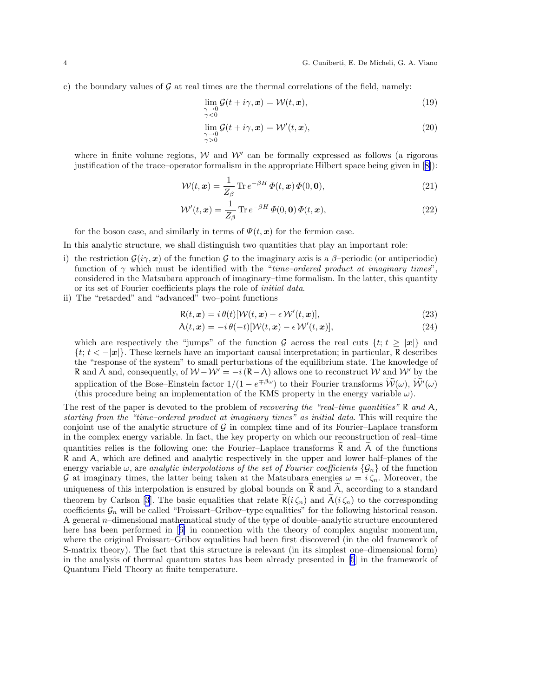c) the boundary values of  $G$  at real times are the thermal correlations of the field, namely:

$$
\lim_{\substack{\gamma \to 0 \\ \gamma < 0}} \mathcal{G}(t + i\gamma, \mathbf{x}) = \mathcal{W}(t, \mathbf{x}),\tag{19}
$$

$$
\lim_{\substack{\gamma \to 0 \\ \gamma > 0}} \mathcal{G}(t + i\gamma, \mathbf{x}) = \mathcal{W}'(t, \mathbf{x}),\tag{20}
$$

where in finite volume regions,  $W$  and  $W'$  can be formally expressed as follows (a rigorous justification of the trace–operator formalism in the appropriate Hilbert space being given in[[8\]](#page-22-0)):

$$
\mathcal{W}(t,\mathbf{x}) = \frac{1}{Z_{\beta}} \operatorname{Tr} e^{-\beta H} \Phi(t,\mathbf{x}) \Phi(0,\mathbf{0}),\tag{21}
$$

$$
\mathcal{W}'(t,\mathbf{x}) = \frac{1}{Z_{\beta}} \operatorname{Tr} e^{-\beta H} \Phi(0,\mathbf{0}) \Phi(t,\mathbf{x}), \qquad (22)
$$

for the boson case, and similarly in terms of  $\Psi(t, x)$  for the fermion case.

In this analytic structure, we shall distinguish two quantities that play an important role:

- i) the restriction  $\mathcal{G}(i\gamma, x)$  of the function G to the imaginary axis is a  $\beta$ -periodic (or antiperiodic) function of  $\gamma$  which must be identified with the "time-ordered product at imaginary times", considered in the Matsubara approach of imaginary–time formalism. In the latter, this quantity or its set of Fourier coefficients plays the role of initial data.
- ii) The "retarded" and "advanced" two–point functions

$$
R(t, x) = i \theta(t) [\mathcal{W}(t, x) - \epsilon \mathcal{W}'(t, x)], \qquad (23)
$$

$$
\mathcal{A}(t, \mathbf{x}) = -i \theta(-t) [\mathcal{W}(t, \mathbf{x}) - \epsilon \mathcal{W}'(t, \mathbf{x})], \tag{24}
$$

which are respectively the "jumps" of the function G across the real cuts  $\{t; t \geq |\mathbf{x}|\}$  and  $\{t; t < -|\mathbf{x}|\}$ . These kernels have an important causal interpretation; in particular, R describes the "response of the system" to small perturbations of the equilibrium state. The knowledge of R and A and, consequently, of  $W - W' = -i(R - A)$  allows one to reconstruct W and W' by the application of the Bose–Einstein factor  $1/(1 - e^{\mp \beta \omega})$  to their Fourier transforms  $\mathcal{W}(\omega)$ ,  $\mathcal{W}'(\omega)$ (this procedure being an implementation of the KMS property in the energy variable  $\omega$ ).

The rest of the paper is devoted to the problem of recovering the "real-time quantities" R and A, starting from the "time–ordered product at imaginary times" as initial data. This will require the conjoint use of the analytic structure of  $G$  in complex time and of its Fourier–Laplace transform in the complex energy variable. In fact, the key property on which our reconstruction of real–time quantities relies is the following one: the Fourier–Laplace transforms  $R$  and  $A$  of the functions R and A, which are defined and analytic respectively in the upper and lower half–planes of the energy variable  $\omega$ , are analytic interpolations of the set of Fourier coefficients  $\{\mathcal{G}_n\}$  of the function G at imaginary times, the latter being taken at the Matsubara energies  $\omega = i \zeta_n$ . Moreover, the uniqueness of this interpolation is ensured by global bounds on  $\tilde{R}$  and  $\tilde{A}$ , according to a standard theorem by Carlson [\[3](#page-22-0)]. The basic equalities that relate  $\mathbf{R}(i \zeta_n)$  and  $\mathbf{A}(i \zeta_n)$  to the corresponding coefficients  $\mathcal{G}_n$  will be called "Froissart–Gribov–type equalities" for the following historical reason. A general n–dimensional mathematical study of the type of double–analytic structure encountered here has been performed in[[6\]](#page-22-0) in connection with the theory of complex angular momentum, where the original Froissart–Gribov equalities had been first discovered (in the old framework of S-matrix theory). The fact that this structure is relevant (in its simplest one–dimensional form) in the analysis of thermal quantum states has been already presented in [\[5](#page-22-0)] in the framework of Quantum Field Theory at finite temperature.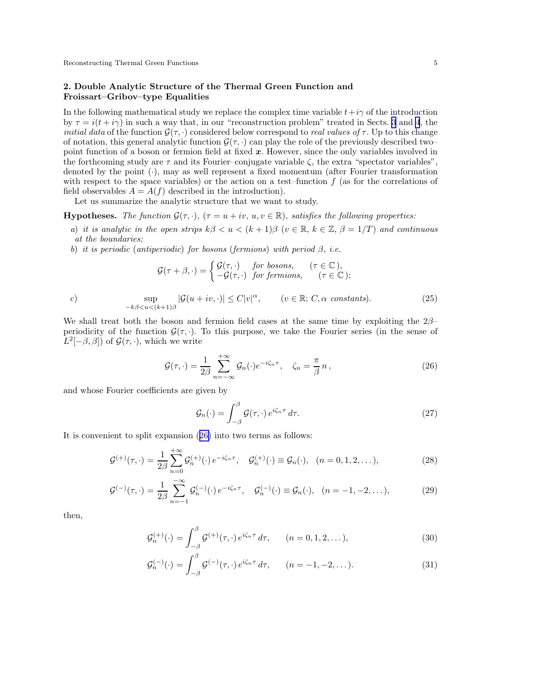## <span id="page-4-0"></span>2. Double Analytic Structure of the Thermal Green Function and Froissart–Gribov–type Equalities

In the following mathematical study we replace the complex time variable  $t+i\gamma$  of the introduction by  $\tau = i(t + i\gamma)$  in such a way that, in our "reconstruction problem" treated in Sects. [3](#page-8-0) and [4](#page-15-0), the *initial data* of the function  $\mathcal{G}(\tau, \cdot)$  considered below correspond to *real values of*  $\tau$ . Up to this change of notation, this general analytic function  $\mathcal{G}(\tau, \cdot)$  can play the role of the previously described two– point function of a boson or fermion field at fixed  $x$ . However, since the only variables involved in the forthcoming study are  $\tau$  and its Fourier–conjugate variable  $\zeta$ , the extra "spectator variables", denoted by the point  $(\cdot)$ , may as well represent a fixed momentum (after Fourier transformation with respect to the space variables) or the action on a test–function  $f$  (as for the correlations of field observables  $A = A(f)$  described in the introduction).

Let us summarize the analytic structure that we want to study.

**Hypotheses.** The function  $\mathcal{G}(\tau, \cdot)$ ,  $(\tau = u + iv, u, v \in \mathbb{R})$ , satisfies the following properties:

- a) it is analytic in the open strips  $k\beta < u < (k+1)\beta$  ( $v \in \mathbb{R}$ ,  $k \in \mathbb{Z}$ ,  $\beta = 1/T$ ) and continuous at the boundaries;
- b) it is periodic (antiperiodic) for bosons (fermions) with period  $\beta$ , i.e.

$$
\mathcal{G}(\tau+\beta,\cdot)=\begin{cases} \mathcal{G}(\tau,\cdot) & \text{for bosons}, \\ -\mathcal{G}(\tau,\cdot) & \text{for fermions}, \\ \end{cases} \quad (\tau\in\mathbb{C}),
$$

c) 
$$
\sup_{-k\beta < u < (k+1)\beta} |\mathcal{G}(u+iv,\cdot)| \leq C|v|^{\alpha}, \qquad (v \in \mathbb{R}; C, \alpha \text{ constants}). \tag{25}
$$

We shall treat both the boson and fermion field cases at the same time by exploiting the  $2\beta$ – periodicity of the function  $\mathcal{G}(\tau, \cdot)$ . To this purpose, we take the Fourier series (in the sense of  $L^2[-\beta,\beta]$ ) of  $\mathcal{G}(\tau,\cdot)$ , which we write

$$
\mathcal{G}(\tau,\cdot) = \frac{1}{2\beta} \sum_{n=-\infty}^{+\infty} \mathcal{G}_n(\cdot) e^{-i\zeta_n \tau}, \quad \zeta_n = \frac{\pi}{\beta} n, \qquad (26)
$$

and whose Fourier coefficients are given by

$$
\mathcal{G}_n(\cdot) = \int_{-\beta}^{\beta} \mathcal{G}(\tau, \cdot) e^{i\zeta_n \tau} d\tau.
$$
 (27)

It is convenient to split expansion (26) into two terms as follows:

$$
\mathcal{G}^{(+)}(\tau,\cdot) = \frac{1}{2\beta} \sum_{n=0}^{+\infty} \mathcal{G}_n^{(+)}(\cdot) e^{-i\zeta_n \tau}, \quad \mathcal{G}_n^{(+)}(\cdot) \equiv \mathcal{G}_n(\cdot), \quad (n = 0, 1, 2, \dots),
$$
 (28)

$$
\mathcal{G}^{(-)}(\tau,\cdot) = \frac{1}{2\beta} \sum_{n=-1}^{-\infty} \mathcal{G}_n^{(-)}(\cdot) e^{-i\zeta_n \tau}, \quad \mathcal{G}_n^{(-)}(\cdot) \equiv \mathcal{G}_n(\cdot), \quad (n = -1, -2, \dots),
$$
 (29)

then,

$$
\mathcal{G}_n^{(+)}(\cdot) = \int_{-\beta}^{\beta} \mathcal{G}^{(+)}(\tau, \cdot) e^{i\zeta_n \tau} d\tau, \qquad (n = 0, 1, 2, \ldots), \tag{30}
$$

$$
\mathcal{G}_n^{(-)}(\cdot) = \int_{-\beta}^{\beta} \mathcal{G}^{(-)}(\tau, \cdot) e^{i\zeta_n \tau} d\tau, \qquad (n = -1, -2, \dots). \tag{31}
$$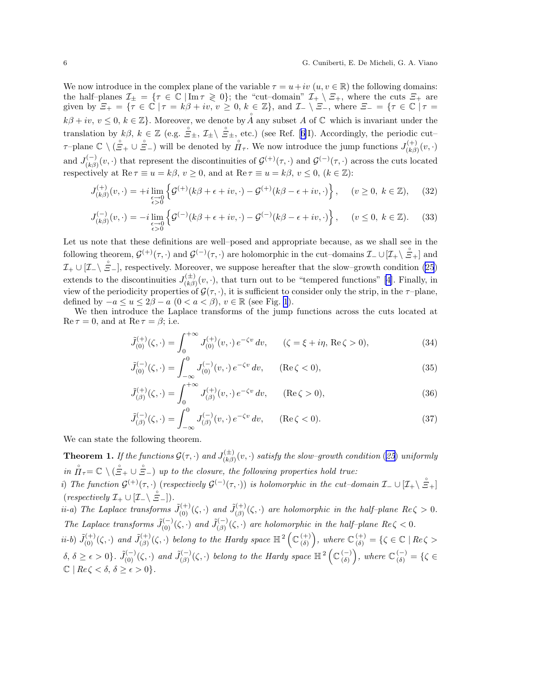<span id="page-5-0"></span>We now introduce in the complex plane of the variable  $\tau = u + iv$   $(u, v \in \mathbb{R})$  the following domains: the half–planes  $\mathcal{I}_{\pm} = \{ \tau \in \mathbb{C} \mid \text{Im} \tau \geq 0 \}$ ; the "cut-domain"  $\mathcal{I}_{+} \setminus \Xi_{+}$ , where the cuts  $\Xi_{+}$  are given by  $\Xi_+ = \{ \overline{\tau} \in \mathbb{C} \mid \tau = k\beta + iv, v \geq 0, k \in \mathbb{Z} \}$ , and  $\mathcal{I}_- \setminus \Xi_-$ , where  $\Xi_- = \{ \tau \in \mathbb{C} \mid \tau = k\beta + iv, v \geq 0, k \in \mathbb{Z} \}$  $k\beta + iv, v \leq 0, k \in \mathbb{Z}$ . Moreover, we denote by  $\check{A}$  any subset A of  $\mathbb C$  which is invariant under the translationby  $k\beta$ ,  $k \in \mathbb{Z}$  (e.g.  $\mathbb{S}_{\pm}$ ,  $\mathcal{I}_{\pm} \setminus \mathbb{S}_{\pm}$ , etc.) (see Ref. [[6\]](#page-22-0)I). Accordingly, the periodic cut–  $\tau$ –plane  $\mathbb{C} \setminus (\mathring{\Xi}_+ \cup \mathring{\Xi}_-)$  will be denoted by  $\mathring{\Pi}_{\tau}$ . We now introduce the jump functions  $J_{(k)\beta}^{(+)}$  $\binom{(+)}{(k\beta)}(v,\cdot)$ and  $J_{(k, \beta)}^{(-)}$  $\mathcal{G}^{(-)}(v,\cdot)$  that represent the discontinuities of  $\mathcal{G}^{(+)}(\tau,\cdot)$  and  $\mathcal{G}^{(-)}(\tau,\cdot)$  across the cuts located respectively at  $\text{Re } \tau \equiv u = k\beta, v \ge 0$ , and at  $\text{Re } \tau \equiv u = k\beta, v \le 0$ ,  $(k \in \mathbb{Z})$ :

$$
J_{(k\beta)}^{(+)}(v,\cdot) = +i \lim_{\substack{\epsilon \to 0 \\ \epsilon > 0}} \left\{ \mathcal{G}^{(+)}(k\beta + \epsilon + iv, \cdot) - \mathcal{G}^{(+)}(k\beta - \epsilon + iv, \cdot) \right\}, \quad (v \ge 0, \ k \in \mathbb{Z}), \tag{32}
$$

$$
J_{(k\beta)}^{(-)}(v,\cdot) = -i \lim_{\substack{\epsilon \to 0 \\ \epsilon > 0}} \left\{ \mathcal{G}^{(-)}(k\beta + \epsilon + iv, \cdot) - \mathcal{G}^{(-)}(k\beta - \epsilon + iv, \cdot) \right\}, \quad (v \le 0, \ k \in \mathbb{Z}). \tag{33}
$$

Let us note that these definitions are well–posed and appropriate because, as we shall see in the following theorem,  $\mathcal{G}^{(+)}(\tau, \cdot)$  and  $\mathcal{G}^{(-)}(\tau, \cdot)$  are holomorphic in the cut–domains  $\mathcal{I}_{-} \cup [\mathcal{I}_{+}\setminus \mathcal{I}_{+}]$  and  $\mathcal{I}_+ \cup [\mathcal{I}_- \setminus \mathcal{I}_-],$  respectively. Moreover, we suppose hereafter that the slow–growth condition [\(25](#page-4-0)) extends to the discontinuities  $J_{\mu}^{(\pm)}$  $\binom{(\pm)}{(k\beta)}(v, \cdot)$ , that turn out to be "tempered functions" [\[4](#page-22-0)]. Finally, in view of the periodicity properties of  $\mathcal{G}(\tau, \cdot)$ , it is sufficient to consider only the strip, in the  $\tau$ -plane, defined by  $-a \le u \le 2\beta - a$   $(0 < a < \beta), v \in \mathbb{R}$  (see Fig. [1](#page-6-0)).

We then introduce the Laplace transforms of the jump functions across the cuts located at  $\text{Re}\,\tau=0$ , and at  $\text{Re}\,\tau=\beta$ ; i.e.

$$
\tilde{J}_{(0)}^{(+)}(\zeta, \cdot) = \int_0^{+\infty} J_{(0)}^{(+)}(v, \cdot) e^{-\zeta v} dv, \qquad (\zeta = \xi + i\eta, \operatorname{Re}\zeta > 0), \tag{34}
$$

$$
\tilde{J}_{(0)}^{(-)}(\zeta,\cdot) = \int_{-\infty}^{0} J_{(0)}^{(-)}(v,\cdot) e^{-\zeta v} dv, \qquad (\text{Re}\,\zeta < 0),\tag{35}
$$

$$
\tilde{J}^{(+)}_{(\beta)}(\zeta, \cdot) = \int_0^{+\infty} J^{(+)}_{(\beta)}(v, \cdot) e^{-\zeta v} dv, \qquad (\text{Re}\,\zeta > 0),\tag{36}
$$

$$
\tilde{J}_{(\beta)}^{(-)}(\zeta, \cdot) = \int_{-\infty}^{0} J_{(\beta)}^{(-)}(v, \cdot) e^{-\zeta v} dv, \qquad (\text{Re}\,\zeta < 0). \tag{37}
$$

We can state the following theorem.

**Theorem 1.** If the functions  $\mathcal{G}(\tau, \cdot)$  and  $J_{(k\beta)}^{(\pm)}$  $\sum_{(k\beta)}^{(\pm)}(v,\cdot)$  satisfy the slow–growth condition ([25](#page-4-0)) uniformly in  $\hat{H}_{\tau} = \mathbb{C} \setminus (\hat{\Xi}_+ \cup \hat{\Xi}_-)$  up to the closure, the following properties hold true:

i) The function  $\mathcal{G}^{(+)}(\tau, \cdot)$  (respectively  $\mathcal{G}^{(-)}(\tau, \cdot)$ ) is holomorphic in the cut–domain  $\mathcal{I}_{-} \cup [\mathcal{I}_{+} \setminus \mathcal{E}_{+}]$  $(respectively \mathcal{I}_+ \cup [\mathcal{I}_-\setminus \mathcal{E}_-]).$ 

*ii-a*) The Laplace transforms  $\tilde{J}_{(0)}^{(+)}(\zeta, \cdot)$  and  $\tilde{J}_{(\beta)}^{(+)}$  $\chi^{(+)}_{(\beta)}(\zeta, \cdot)$  are holomorphic in the half-plane  $Re \zeta > 0$ . The Laplace transforms  $\tilde{J}_{(0)}^{(-)}(\zeta, \cdot)$  and  $\tilde{J}_{(\beta)}^{(-)}$  $\sum_{(\beta)}^{(\neg)}(\zeta, \cdot)$  are holomorphic in the half-plane  $Re \zeta < 0$ .

*ii-b*)  $\tilde{J}_{(0)}^{(+)}(\zeta, \cdot)$  and  $\tilde{J}_{(\beta)}^{(+)}$  $\widetilde{f}^{(+)}_{(\beta)}(\zeta, \cdot)$  belong to the Hardy space  $\mathbb{H}^2\left(\mathbb{C}^{(+)}_{(\delta)}\right)$ (δ) ), where  $\mathbb{C}_{\delta}^{(+)} = \{ \zeta \in \mathbb{C} \mid Re \zeta > \}$  $\delta, \, \delta \geq \epsilon > 0 \}$ .  $\tilde{J}_{(0)}^{(-)}(\zeta, \cdot)$  and  $\tilde{J}_{(\beta)}^{(-)}$  $\chi^{(\text{-})}_{(\beta)}(\zeta, \cdot)$  belong to the Hardy space  $\mathbb{H}^2\left(\mathbb{C}^{(\text{-})}_{(\delta)}\right)$ (δ) ), where  $\mathbb{C}_{\delta}^{(-)} = \{ \zeta \in$  $\mathbb{C}$  |  $Re \zeta < \delta, \delta \geq \epsilon > 0$  }.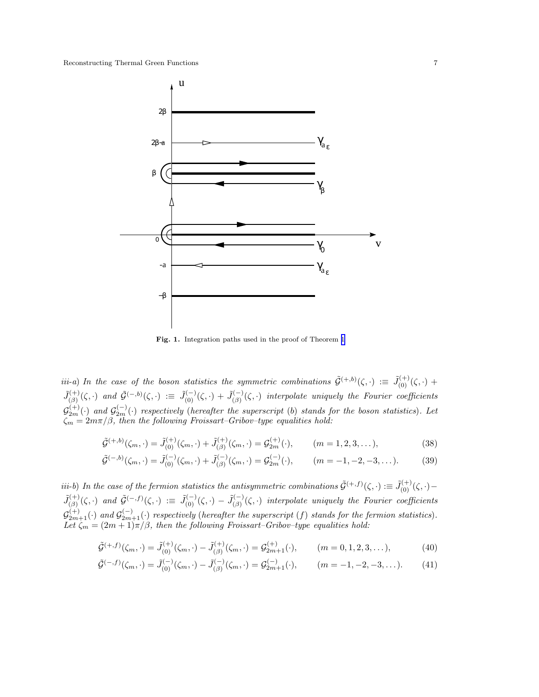<span id="page-6-0"></span>

Fig. 1. Integration paths used in the proof of Theorem [1](#page-5-0)

iii-a) In the case of the boson statistics the symmetric combinations  $\tilde{\mathcal{G}}^{(+,b)}(\zeta,\cdot) \coloneqq \tilde{J}_{(0)}^{(+)}(\zeta,\cdot) +$  $\tilde{J}^{(+)}_{(3)}$  $(\xi^{(+)}_{(\beta)}(\zeta, \cdot)$  and  $\tilde{\mathcal{G}}^{(-,b)}(\zeta, \cdot) := \tilde{J}_{(0)}^{(-)}(\zeta, \cdot) + \tilde{J}_{(\beta)}^{(-)}$  $\sum_{(\beta)}^{(\neg)}(\zeta, \cdot)$  interpolate uniquely the Fourier coefficients  $\mathcal{G}_{2m}^{(+)}(\cdot)$  and  $\mathcal{G}_{2m}^{(-)}(\cdot)$  respectively (hereafter the superscript (b) stands for the boson statistics). Let  $\zeta_m = 2m\pi/\beta$ , then the following Froissart–Gribov–type equalities hold:

$$
\tilde{\mathcal{G}}^{(+,b)}(\zeta_m, \cdot) = \tilde{J}_{(0)}^{(+)}(\zeta_m, \cdot) + \tilde{J}_{(\beta)}^{(+)}(\zeta_m, \cdot) = \mathcal{G}_{2m}^{(+)}(\cdot), \qquad (m = 1, 2, 3, \dots),
$$
\n(38)

$$
\tilde{\mathcal{G}}^{(-,b)}(\zeta_m, \cdot) = \tilde{J}_{(0)}^{(-)}(\zeta_m, \cdot) + \tilde{J}_{(\beta)}^{(-)}(\zeta_m, \cdot) = \mathcal{G}_{2m}^{(-)}(\cdot), \qquad (m = -1, -2, -3, \dots). \tag{39}
$$

iii-b) In the case of the fermion statistics the antisymmetric combinations  $\tilde{\mathcal{G}}^{(+,f)}(\zeta,\cdot)\coloneqq\tilde{J}_{(0)}^{(+)}(\zeta,\cdot) \tilde{J}_{(\beta)}^{(+)}$  $(\xi^{(+)}_{(\beta)}(\zeta, \cdot)$  and  $\tilde{\mathcal{G}}^{(-,f)}(\zeta, \cdot) := \tilde{J}_{(0)}^{(-)}(\zeta, \cdot) - \tilde{J}_{(\beta)}^{(-)}$  $\binom{(-)}{(\beta)}(\zeta, \cdot)$  interpolate uniquely the Fourier coefficients  $\mathcal{G}_{2m+1}^{(+)}(\cdot)$  and  $\mathcal{G}_{2m+1}^{(-)}(\cdot)$  respectively (hereafter the superscript (f) stands for the fermion statistics). Let  $\zeta_m = (2m+1)\pi/\beta$ , then the following Froissart–Gribov–type equalities hold:

$$
\tilde{\mathcal{G}}^{(+,f)}(\zeta_m, \cdot) = \tilde{J}_{(0)}^{(+)}(\zeta_m, \cdot) - \tilde{J}_{(\beta)}^{(+)}(\zeta_m, \cdot) = \mathcal{G}_{2m+1}^{(+)}(\cdot), \qquad (m = 0, 1, 2, 3, \dots), \tag{40}
$$

$$
\tilde{\mathcal{G}}^{(-,f)}(\zeta_m, \cdot) = \tilde{J}_{(0)}^{(-)}(\zeta_m, \cdot) - \tilde{J}_{(\beta)}^{(-)}(\zeta_m, \cdot) = \mathcal{G}_{2m+1}^{(-)}(\cdot), \qquad (m = -1, -2, -3, \dots). \tag{41}
$$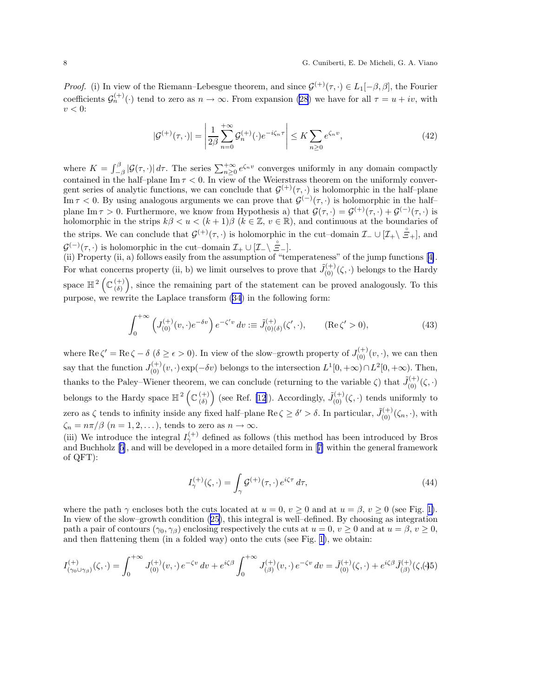*Proof.* (i) In view of the Riemann–Lebesgue theorem, and since  $\mathcal{G}^{(+)}(\tau, \cdot) \in L_1[-\beta, \beta]$ , the Fourier coefficients  $\mathcal{G}_n^{(+)}(\cdot)$  tend to zero as  $n \to \infty$ . From expansion [\(28](#page-4-0)) we have for all  $\tau = u + iv$ , with  $v < 0$ :

$$
|\mathcal{G}^{(+)}(\tau,\cdot)| = \left|\frac{1}{2\beta} \sum_{n=0}^{+\infty} \mathcal{G}_n^{(+)}(\cdot) e^{-i\zeta_n \tau} \right| \le K \sum_{n\ge 0} e^{\zeta_n v},\tag{42}
$$

where  $K = \int_{-\beta}^{\beta} |\mathcal{G}(\tau, \cdot)| d\tau$ . The series  $\sum_{n\geq 0}^{+\infty} e^{\zeta_n v}$  converges uniformly in any domain compactly contained in the half–plane  $\text{Im }\tau < 0$ . In view of the Weierstrass theorem on the uniformly convergent series of analytic functions, we can conclude that  $\mathcal{G}^{(+)}(\tau, \cdot)$  is holomorphic in the half-plane Im  $\tau < 0$ . By using analogous arguments we can prove that  $\mathcal{G}^{(-)}(\tau, \cdot)$  is holomorphic in the halfplane Im  $\tau > 0$ . Furthermore, we know from Hypothesis a) that  $\mathcal{G}(\tau, \cdot) = \mathcal{G}^{(+)}(\tau, \cdot) + \mathcal{G}^{(-)}(\tau, \cdot)$  is holomorphic in the strips  $k\beta < u < (k+1)\beta$  ( $k \in \mathbb{Z}$ ,  $v \in \mathbb{R}$ ), and continuous at the boundaries of the strips. We can conclude that  $\mathcal{G}^{(+)}(\tau, \cdot)$  is holomorphic in the cut–domain  $\mathcal{I}_{-} \cup [\mathcal{I}_{+} \setminus \mathcal{I}_{+}^{\circ}]$ , and  $\mathcal{G}^{(-)}(\tau, \cdot)$  is holomorphic in the cut–domain  $\mathcal{I}_{+} \cup [\mathcal{I}_{-}\setminus \mathcal{I}_{-}^{\circ}]$ .

(ii) Property (ii, a) follows easily from the assumption of "temperateness" of the jump functions[[4\]](#page-22-0). For what concerns property (ii, b) we limit ourselves to prove that  $\tilde{J}_{(0)}^{(+)}(\zeta, \cdot)$  belongs to the Hardy space  $\mathbb{H}^2\left(\mathbb{C}_{(0)}^{(+)}\right)$ (δ) , since the remaining part of the statement can be proved analogously. To this purpose, we rewrite the Laplace transform [\(34](#page-5-0)) in the following form:

$$
\int_0^{+\infty} \left( J_{(0)}^{(+)}(v,\cdot)e^{-\delta v} \right) e^{-\zeta' v} dv := \tilde{J}_{(0)(\delta)}^{(+)}(\zeta',\cdot), \qquad (\text{Re}\,\zeta' > 0),\tag{43}
$$

where  $\text{Re }\zeta' = \text{Re }\zeta - \delta \ (\delta \geq \epsilon > 0).$  In view of the slow–growth property of  $J_{(0)}^{(+)}(v, \cdot)$ , we can then say that the function  $J_{(0)}^{(+)}(v, \cdot)$  exp( $-\delta v$ ) belongs to the intersection  $L^1[0, +\infty) \cap L^2[0, +\infty)$ . Then, thanks to the Paley–Wiener theorem, we can conclude (returning to the variable  $\zeta$ ) that  $\tilde{J}_{(0)}^{(+)}(\zeta, \cdot)$ belongs to the Hardy space  $\mathbb{H}^2\left(\mathbb{C}^{(+)}_{\langle \delta \rangle}\right)$ (δ) ) (see Ref. [\[12](#page-22-0)]). Accordingly,  $\tilde{J}_{(0)}^{(+)}(\zeta, \cdot)$  tends uniformly to zero as  $\zeta$  tends to infinity inside any fixed half-plane Re  $\zeta \ge \delta' > \delta$ . In particular,  $\tilde{J}_{(0)}^{(+)}(\zeta_n, \cdot)$ , with  $\zeta_n = n\pi/\beta$   $(n = 1, 2, ...)$ , tends to zero as  $n \to \infty$ .

(iii) We introduce the integral  $I_{\gamma}^{(+)}$  defined as follows (this method has been introduced by Bros and Buchholz [\[5](#page-22-0)], and will be developed in a more detailed form in[[7\]](#page-22-0) within the general framework of QFT):

$$
I_{\gamma}^{(+)}(\zeta,\cdot) = \int_{\gamma} \mathcal{G}^{(+)}(\tau,\cdot) e^{i\zeta\tau} d\tau,
$$
\n(44)

where the path  $\gamma$  encloses both the cuts located at  $u = 0$ ,  $v \ge 0$  and at  $u = \beta$ ,  $v \ge 0$  (see Fig. [1\)](#page-6-0). In view of the slow–growth condition [\(25](#page-4-0)), this integral is well–defined. By choosing as integration path a pair of contours  $(\gamma_0, \gamma_0)$  enclosing respectively the cuts at  $u = 0, v \ge 0$  and at  $u = \beta, v \ge 0$ , and then flattening them (in a folded way) onto the cuts (see Fig. [1\)](#page-6-0), we obtain:

$$
I_{(\gamma_0 \cup \gamma_\beta)}^{(+)}(\zeta, \cdot) = \int_0^{+\infty} J_{(0)}^{(+)}(v, \cdot) e^{-\zeta v} dv + e^{i\zeta \beta} \int_0^{+\infty} J_{(\beta)}^{(+)}(v, \cdot) e^{-\zeta v} dv = \tilde{J}_{(0)}^{(+)}(\zeta, \cdot) + e^{i\zeta \beta} \tilde{J}_{(\beta)}^{(+)}(\zeta, 45)
$$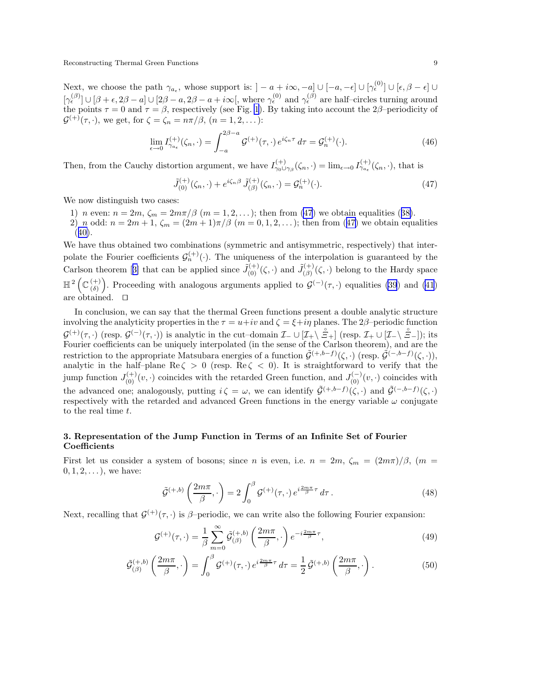<span id="page-8-0"></span>Next, we choose the path  $\gamma_{a_{\epsilon}}$ , whose support is:  $]-a+i\infty,-a] \cup [-a,-\epsilon] \cup [\gamma_{\epsilon}^{(0)}] \cup [\epsilon,\beta-\epsilon] \cup$  $[\gamma_{\epsilon}^{(\beta)}] \cup [\beta + \epsilon, 2\beta - a] \cup [2\beta - a, 2\beta - a + i\infty],$  where  $\gamma_{\epsilon}^{(0)}$  and  $\gamma_{\epsilon}^{(\beta)}$  are half-circles turning around the points  $\tau = 0$  and  $\tau = \beta$ , respectively (see Fig. [1](#page-6-0)). By taking into account the 2 $\beta$ -periodicity of  $\mathcal{G}^{(+)}(\tau, \cdot)$ , we get, for  $\zeta = \zeta_n = n\pi/\beta$ ,  $(n = 1, 2, ...)$ :

$$
\lim_{\epsilon \to 0} I_{\gamma_{a_{\epsilon}}}^{(+)}(\zeta_n, \cdot) = \int_{-a}^{2\beta - a} \mathcal{G}^{(+)}(\tau, \cdot) e^{i\zeta_n \tau} d\tau = \mathcal{G}_n^{(+)}(\cdot). \tag{46}
$$

Then, from the Cauchy distortion argument, we have  $I_{\gamma_0 \cup \gamma_\beta}^{(+)}(\zeta_n, \cdot) = \lim_{\epsilon \to 0} I_{\gamma a_\epsilon}^{(+)}(\zeta_n, \cdot)$ , that is

$$
\tilde{J}_{(0)}^{(+)}(\zeta_n,\cdot) + e^{i\zeta_n\beta} \tilde{J}_{(\beta)}^{(+)}(\zeta_n,\cdot) = \mathcal{G}_n^{(+)}(\cdot). \tag{47}
$$

We now distinguish two cases:

- 1) *n* even:  $n = 2m$ ,  $\zeta_m = 2m\pi/\beta$  ( $m = 1, 2, ...$ ); then from (47) we obtain equalities ([38\)](#page-6-0).
- 2) n odd:  $n = 2m + 1$ ,  $\zeta_m = (2m + 1)\pi/\beta$   $(m = 0, 1, 2, ...)$ ; then from (47) we obtain equalities  $(40).$  $(40).$  $(40).$

We have thus obtained two combinations (symmetric and antisymmetric, respectively) that interpolate the Fourier coefficients  $\mathcal{G}_n^{(+)}(\cdot)$ . The uniqueness of the interpolation is guaranteed by the Carlsontheorem [[3\]](#page-22-0) that can be applied since  $\tilde{J}_{(0)}^{(+)}(\zeta, \cdot)$  and  $\tilde{J}_{(\beta)}^{(+)}$  $\binom{(\dagger)}{(\beta)}(\zeta, \cdot)$  belong to the Hardy space  $\mathbb{H}^2$   $(\mathbb{C}^{(+)}_{\infty})$ (δ) ). Proceeding with analogous arguments applied to  $\mathcal{G}^{(-)}(\tau, \cdot)$  equalities [\(39](#page-6-0)) and [\(41](#page-6-0)) are obtained. ⊓⊔

In conclusion, we can say that the thermal Green functions present a double analytic structure involving the analyticity properties in the  $\tau = u+iv$  and  $\zeta = \xi + i\eta$  planes. The 2 $\beta$ –periodic function  $\mathcal{G}^{(+)}(\tau, \cdot)$  (resp.  $\mathcal{G}^{(-)}(\tau, \cdot)$ ) is analytic in the cut–domain  $\mathcal{I}_{-} \cup [\mathcal{I}_{+} \setminus \mathcal{E}_{+}]\;$  (resp.  $\mathcal{I}_{+} \cup [\mathcal{I}_{-} \setminus \mathcal{E}_{-}]\}$ ); its Fourier coefficients can be uniquely interpolated (in the sense of the Carlson theorem), and are the restriction to the appropriate Matsubara energies of a function  $\tilde{\mathcal{G}}^{(+,b-f)}(\zeta, \cdot)$  (resp.  $\tilde{\mathcal{G}}^{(-,b-f)}(\zeta, \cdot)$ ), analytic in the half-plane Re $\zeta > 0$  (resp. Re $\zeta < 0$ ). It is straightforward to verify that the jump function  $J_{(0)}^{(+)}(v, \cdot)$  coincides with the retarded Green function, and  $J_{(0)}^{(-)}(v, \cdot)$  coincides with the advanced one; analogously, putting  $i \zeta = \omega$ , we can identify  $\tilde{G}^{(+,b-f)}(\zeta, \cdot)$  and  $\tilde{G}^{(-,b-f)}(\zeta, \cdot)$ respectively with the retarded and advanced Green functions in the energy variable  $\omega$  conjugate to the real time t.

## 3. Representation of the Jump Function in Terms of an Infinite Set of Fourier Coefficients

First let us consider a system of bosons; since n is even, i.e.  $n = 2m$ ,  $\zeta_m = (2m\pi)/\beta$ ,  $(m =$  $(0, 1, 2, \ldots)$ , we have:

$$
\tilde{\mathcal{G}}^{(+,b)}\left(\frac{2m\pi}{\beta},\cdot\right) = 2\int_0^\beta \mathcal{G}^{(+)}(\tau,\cdot)\,e^{i\frac{2m\pi}{\beta}\tau}\,d\tau\,. \tag{48}
$$

Next, recalling that  $\mathcal{G}^{(+)}(\tau, \cdot)$  is  $\beta$ -periodic, we can write also the following Fourier expansion:

$$
\mathcal{G}^{(+)}(\tau,\cdot) = \frac{1}{\beta} \sum_{m=0}^{\infty} \tilde{\mathcal{G}}^{(+,b)}_{(\beta)} \left( \frac{2m\pi}{\beta}, \cdot \right) e^{-i\frac{2m\pi}{\beta}\tau},\tag{49}
$$

$$
\tilde{\mathcal{G}}_{(\beta)}^{(+,b)}\left(\frac{2m\pi}{\beta},\cdot\right) = \int_0^\beta \mathcal{G}^{(+)}(\tau,\cdot)\,e^{i\frac{2m\pi}{\beta}\tau}\,d\tau = \frac{1}{2}\,\tilde{\mathcal{G}}^{(+,b)}\left(\frac{2m\pi}{\beta},\cdot\right). \tag{50}
$$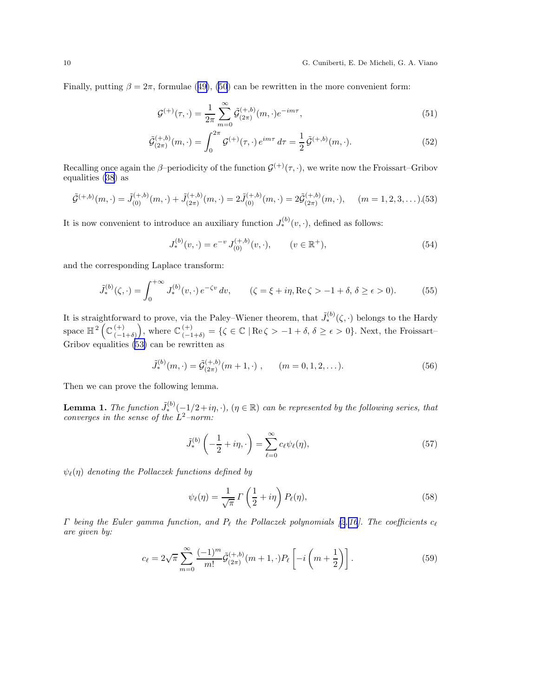<span id="page-9-0"></span>Finally, putting  $\beta = 2\pi$ , formulae ([49\)](#page-8-0), [\(50](#page-8-0)) can be rewritten in the more convenient form:

$$
\mathcal{G}^{(+)}(\tau,\cdot) = \frac{1}{2\pi} \sum_{m=0}^{\infty} \tilde{\mathcal{G}}_{(2\pi)}^{(+,b)}(m,\cdot)e^{-im\tau},\tag{51}
$$

$$
\tilde{\mathcal{G}}_{(2\pi)}^{(+,b)}(m,\cdot) = \int_0^{2\pi} \mathcal{G}^{(+)}(\tau,\cdot) e^{im\tau} d\tau = \frac{1}{2} \tilde{\mathcal{G}}^{(+,b)}(m,\cdot). \tag{52}
$$

Recalling once again the  $\beta$ -periodicity of the function  $\mathcal{G}^{(+)}(\tau, \cdot)$ , we write now the Froissart–Gribov equalities ([38\)](#page-6-0) as

$$
\tilde{\mathcal{G}}^{(+,b)}(m,\cdot) = \tilde{J}_{(0)}^{(+,b)}(m,\cdot) + \tilde{J}_{(2\pi)}^{(+,b)}(m,\cdot) = 2\tilde{J}_{(0)}^{(+,b)}(m,\cdot) = 2\tilde{\mathcal{G}}_{(2\pi)}^{(+,b)}(m,\cdot), \quad (m = 1, 2, 3, \dots). (53)
$$

It is now convenient to introduce an auxiliary function  $J_*^{(b)}(v, \cdot)$ , defined as follows:

$$
J_*^{(b)}(v, \cdot) = e^{-v} J_{(0)}^{(+,b)}(v, \cdot), \qquad (v \in \mathbb{R}^+), \tag{54}
$$

and the corresponding Laplace transform:

$$
\tilde{J}_*^{(b)}(\zeta, \cdot) = \int_0^{+\infty} J_*^{(b)}(v, \cdot) e^{-\zeta v} dv, \qquad (\zeta = \xi + i\eta, \text{Re}\,\zeta > -1 + \delta, \,\delta \ge \epsilon > 0). \tag{55}
$$

It is straightforward to prove, via the Paley–Wiener theorem, that  $\tilde{J}_*^{(b)}(\zeta, \cdot)$  belongs to the Hardy space  $\mathbb{H}^2(\mathbb{C}_{n=1}^{(+)})$  $(-1+\delta)$ ), where  $\mathbb{C}^{(+)}_{(-1+\delta)} = \{ \zeta \in \mathbb{C} \mid \text{Re}\,\zeta > -1 + \delta, \delta \geq \epsilon > 0 \}.$  Next, the Froissart-Gribov equalities (53) can be rewritten as

$$
\tilde{J}_*^{(b)}(m,\cdot) = \tilde{\mathcal{G}}_{(2\pi)}^{(+,b)}(m+1,\cdot) , \qquad (m=0,1,2,\ldots). \tag{56}
$$

Then we can prove the following lemma.

**Lemma 1.** The function  $\tilde{J}_*^{(b)}(-1/2+i\eta, \cdot)$ ,  $(\eta \in \mathbb{R})$  can be represented by the following series, that converges in the sense of the  $L^2$ -norm:

$$
\tilde{J}_*^{(b)}\left(-\frac{1}{2} + i\eta, \cdot\right) = \sum_{\ell=0}^{\infty} c_{\ell} \psi_{\ell}(\eta),\tag{57}
$$

 $\psi_{\ell}(n)$  denoting the Pollaczek functions defined by

$$
\psi_{\ell}(\eta) = \frac{1}{\sqrt{\pi}} \Gamma\left(\frac{1}{2} + i\eta\right) P_{\ell}(\eta),\tag{58}
$$

 $\Gamma$ being the Euler gamma function, and  $P_\ell$  the Pollaczek polynomials [[2](#page-22-0),[16](#page-22-0)]. The coefficients  $c_\ell$ are given by:

$$
c_{\ell} = 2\sqrt{\pi} \sum_{m=0}^{\infty} \frac{(-1)^m}{m!} \tilde{\mathcal{G}}_{(2\pi)}^{(+,b)}(m+1,\cdot) P_{\ell} \left[ -i\left(m+\frac{1}{2}\right) \right]. \tag{59}
$$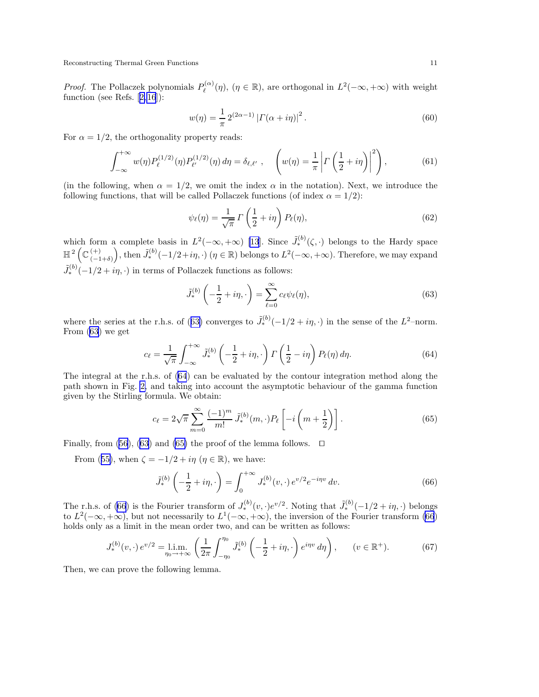<span id="page-10-0"></span>*Proof.* The Pollaczek polynomials  $P_{\ell}^{(\alpha)}$  $L^{\alpha}(\alpha)(\eta)$ ,  $(\eta \in \mathbb{R})$ , are orthogonal in  $L^2(-\infty, +\infty)$  with weight function(see Refs.  $[2,16]$  $[2,16]$  $[2,16]$ ):

$$
w(\eta) = \frac{1}{\pi} 2^{(2\alpha - 1)} | \Gamma(\alpha + i\eta) |^{2}.
$$
 (60)

For  $\alpha = 1/2$ , the orthogonality property reads:

$$
\int_{-\infty}^{+\infty} w(\eta) P_{\ell}^{(1/2)}(\eta) P_{\ell'}^{(1/2)}(\eta) d\eta = \delta_{\ell,\ell'} , \quad \left( w(\eta) = \frac{1}{\pi} \left| \Gamma\left(\frac{1}{2} + i\eta\right) \right|^2 \right), \tag{61}
$$

(in the following, when  $\alpha = 1/2$ , we omit the index  $\alpha$  in the notation). Next, we introduce the following functions, that will be called Pollaczek functions (of index  $\alpha = 1/2$ ):

$$
\psi_{\ell}(\eta) = \frac{1}{\sqrt{\pi}} \Gamma\left(\frac{1}{2} + i\eta\right) P_{\ell}(\eta),\tag{62}
$$

which form a complete basis in  $L^2(-\infty, +\infty)$  [\[13](#page-22-0)]. Since  $\tilde{J}_*^{(b)}(\zeta, \cdot)$  belongs to the Hardy space  $\mathbb{H}^2$   $(\mathbb{C}^{(+)})$  $(-1+\delta)$ ), then  $\tilde{J}_*^{(b)}(-1/2+i\eta,\cdot)$   $(\eta \in \mathbb{R})$  belongs to  $L^2(-\infty,+\infty)$ . Therefore, we may expand  $\tilde{J}_{*}^{(b)}(-1/2+i\eta,\cdot)$  in terms of Pollaczek functions as follows:

$$
\tilde{J}_*^{(b)}\left(-\frac{1}{2} + i\eta, \cdot\right) = \sum_{\ell=0}^{\infty} c_{\ell} \psi_{\ell}(\eta),\tag{63}
$$

where the series at the r.h.s. of (63) converges to  $\tilde{J}_{*}^{(b)}(-1/2 + i\eta, \cdot)$  in the sense of the  $L^2$ -norm. From (63) we get

$$
c_{\ell} = \frac{1}{\sqrt{\pi}} \int_{-\infty}^{+\infty} \tilde{J}_{*}^{(b)} \left( -\frac{1}{2} + i\eta, \cdot \right) \Gamma\left(\frac{1}{2} - i\eta\right) P_{\ell}(\eta) d\eta. \tag{64}
$$

The integral at the r.h.s. of (64) can be evaluated by the contour integration method along the path shown in Fig. [2,](#page-11-0) and taking into account the asymptotic behaviour of the gamma function given by the Stirling formula. We obtain:

$$
c_{\ell} = 2\sqrt{\pi} \sum_{m=0}^{\infty} \frac{(-1)^m}{m!} \, \tilde{J}_*^{(b)}(m, \cdot) P_{\ell} \left[ -i \left( m + \frac{1}{2} \right) \right]. \tag{65}
$$

Finally, from [\(56](#page-9-0)), (63) and (65) the proof of the lemma follows.  $\Box$ 

From ([55\)](#page-9-0), when  $\zeta = -1/2 + i\eta$  ( $\eta \in \mathbb{R}$ ), we have:

$$
\tilde{J}_*^{(b)}\left(-\frac{1}{2} + i\eta, \cdot\right) = \int_0^{+\infty} J_*^{(b)}(v, \cdot) e^{v/2} e^{-i\eta v} dv.
$$
\n(66)

The r.h.s. of (66) is the Fourier transform of  $J_*^{(b)}(v, \cdot)e^{v/2}$ . Noting that  $\tilde{J}_*^{(b)}(-1/2 + i\eta, \cdot)$  belongs to  $L^2(-\infty, +\infty)$ , but not necessarily to  $L^1(-\infty, +\infty)$ , the inversion of the Fourier transform (66) holds only as a limit in the mean order two, and can be written as follows:

$$
J_*^{(b)}(v, \cdot) e^{v/2} = \lim_{\eta_0 \to +\infty} \left( \frac{1}{2\pi} \int_{-\eta_0}^{\eta_0} \tilde{J}_*^{(b)} \left( -\frac{1}{2} + i\eta, \cdot \right) e^{i\eta v} d\eta \right), \qquad (v \in \mathbb{R}^+). \tag{67}
$$

Then, we can prove the following lemma.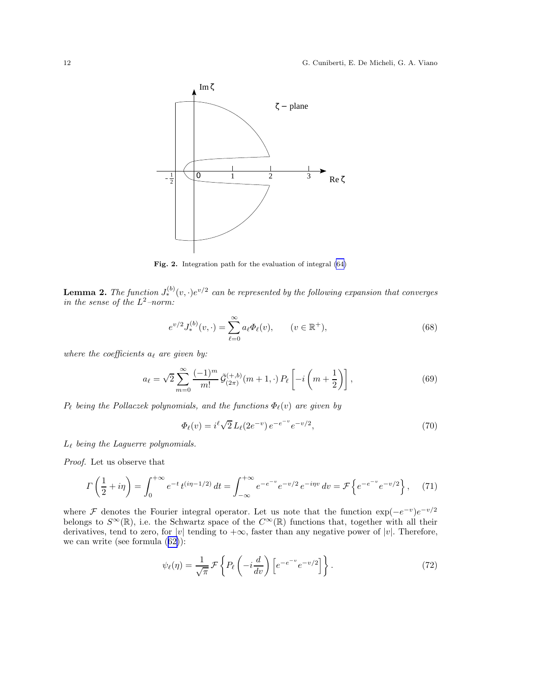<span id="page-11-0"></span>

Fig. 2. Integration path for the evaluation of integral [\(64\)](#page-10-0)

**Lemma 2.** The function  $J_*^{(b)}(v, \cdot)e^{v/2}$  can be represented by the following expansion that converges in the sense of the  $L^2$ -norm:

$$
e^{v/2}J_*^{(b)}(v,\cdot) = \sum_{\ell=0}^{\infty} a_{\ell} \Phi_{\ell}(v), \qquad (v \in \mathbb{R}^+),
$$
 (68)

where the coefficients  $a_{\ell}$  are given by:

$$
a_{\ell} = \sqrt{2} \sum_{m=0}^{\infty} \frac{(-1)^m}{m!} \tilde{\mathcal{G}}_{(2\pi)}^{(+,b)}(m+1,\cdot) P_{\ell} \left[ -i \left( m + \frac{1}{2} \right) \right],
$$
 (69)

 $P_{\ell}$  being the Pollaczek polynomials, and the functions  $\Phi_{\ell}(v)$  are given by

$$
\Phi_{\ell}(v) = i^{\ell} \sqrt{2} L_{\ell}(2e^{-v}) e^{-e^{-v}} e^{-v/2}, \qquad (70)
$$

 $L_{\ell}$  being the Laguerre polynomials.

Proof. Let us observe that

$$
\Gamma\left(\frac{1}{2} + i\eta\right) = \int_0^{+\infty} e^{-t} t^{(i\eta - 1/2)} dt = \int_{-\infty}^{+\infty} e^{-e^{-v}} e^{-v/2} e^{-i\eta v} dv = \mathcal{F}\left\{e^{-e^{-v}} e^{-v/2}\right\},\tag{71}
$$

where F denotes the Fourier integral operator. Let us note that the function  $\exp(-e^{-v})e^{-v/2}$ belongs to  $S^{\infty}(\mathbb{R})$ , i.e. the Schwartz space of the  $C^{\infty}(\mathbb{R})$  functions that, together with all their derivatives, tend to zero, for |v| tending to  $+\infty$ , faster than any negative power of |v|. Therefore, we can write (see formula ([62\)](#page-10-0)):

$$
\psi_{\ell}(\eta) = \frac{1}{\sqrt{\pi}} \mathcal{F} \left\{ P_{\ell} \left( -i \frac{d}{dv} \right) \left[ e^{-e^{-v}} e^{-v/2} \right] \right\}.
$$
\n(72)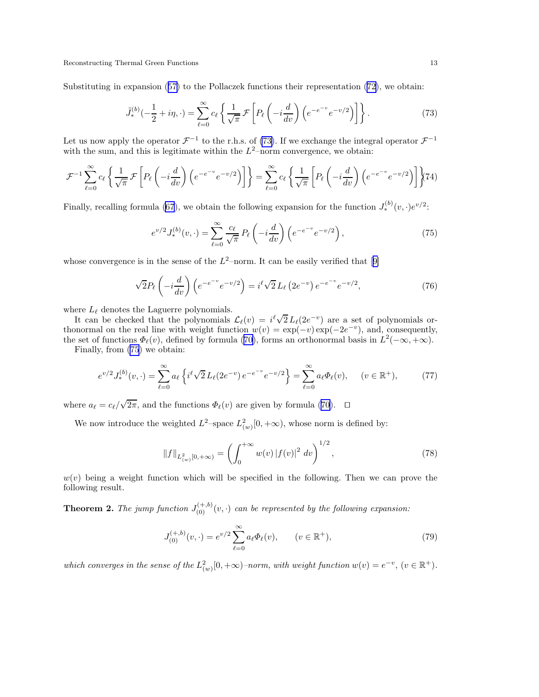<span id="page-12-0"></span>Substituting in expansion ([57\)](#page-9-0) to the Pollaczek functions their representation [\(72](#page-11-0)), we obtain:

$$
\tilde{J}_*^{(b)}(-\frac{1}{2}+i\eta,\cdot) = \sum_{\ell=0}^{\infty} c_{\ell} \left\{ \frac{1}{\sqrt{\pi}} \mathcal{F}\left[P_{\ell}\left(-i\frac{d}{dv}\right)\left(e^{-e^{-v}}e^{-v/2}\right)\right] \right\}.
$$
\n(73)

Let us now apply the operator  $\mathcal{F}^{-1}$  to the r.h.s. of (73). If we exchange the integral operator  $\mathcal{F}^{-1}$ with the sum, and this is legitimate within the  $L^2$ -norm convergence, we obtain:

$$
\mathcal{F}^{-1} \sum_{\ell=0}^{\infty} c_{\ell} \left\{ \frac{1}{\sqrt{\pi}} \mathcal{F} \left[ P_{\ell} \left( -i \frac{d}{dv} \right) \left( e^{-e^{-v}} e^{-v/2} \right) \right] \right\} = \sum_{\ell=0}^{\infty} c_{\ell} \left\{ \frac{1}{\sqrt{\pi}} \left[ P_{\ell} \left( -i \frac{d}{dv} \right) \left( e^{-e^{-v}} e^{-v/2} \right) \right] \right\} (4)
$$

Finally, recalling formula [\(67](#page-10-0)), we obtain the following expansion for the function  $J_*^{(b)}(v, \cdot)e^{v/2}$ :

$$
e^{v/2}J_*^{(b)}(v,\cdot) = \sum_{\ell=0}^{\infty} \frac{c_{\ell}}{\sqrt{\pi}} P_{\ell} \left( -i\frac{d}{dv} \right) \left( e^{-e^{-v}} e^{-v/2} \right),\tag{75}
$$

whoseconvergence is in the sense of the  $L^2$ -norm. It can be easily verified that [[9\]](#page-22-0)

$$
\sqrt{2}P_{\ell}\left(-i\frac{d}{dv}\right)\left(e^{-e^{-v}}e^{-v/2}\right) = i^{\ell}\sqrt{2}L_{\ell}\left(2e^{-v}\right)e^{-e^{-v}}e^{-v/2},\tag{76}
$$

where  $L_{\ell}$  denotes the Laguerre polynomials.

It can be checked that the polynomials  $\mathcal{L}_{\ell}(v) = i^{\ell} \sqrt{2} L_{\ell}(2e^{-v})$  are a set of polynomials orthonormal on the real line with weight function  $w(v) = \exp(-v) \exp(-2e^{-v})$ , and, consequently, the set of functions  $\Phi_{\ell}(v)$ , defined by formula [\(70](#page-11-0)), forms an orthonormal basis in  $L^2(-\infty, +\infty)$ .

Finally, from (75) we obtain:

$$
e^{v/2} J_*^{(b)}(v, \cdot) = \sum_{\ell=0}^{\infty} a_{\ell} \left\{ i^{\ell} \sqrt{2} L_{\ell} (2e^{-v}) e^{-e^{-v}} e^{-v/2} \right\} = \sum_{\ell=0}^{\infty} a_{\ell} \Phi_{\ell}(v), \quad (v \in \mathbb{R}^+), \tag{77}
$$

where  $a_{\ell} = c_{\ell} / \sqrt{2\pi}$ , and the functions  $\Phi_{\ell}(v)$  are given by formula ([70\)](#page-11-0).  $\Box$ 

We now introduce the weighted  $L^2$ -space  $L^2_{(w)}[0, +\infty)$ , whose norm is defined by:

$$
||f||_{L^2_{(w)}[0,+\infty)} = \left(\int_0^{+\infty} w(v) |f(v)|^2 dv\right)^{1/2},\tag{78}
$$

 $w(v)$  being a weight function which will be specified in the following. Then we can prove the following result.

**Theorem 2.** The jump function  $J_{(0)}^{(+,b)}(v, \cdot)$  can be represented by the following expansion:

$$
J_{(0)}^{(+,b)}(v,\cdot) = e^{v/2} \sum_{\ell=0}^{\infty} a_{\ell} \Phi_{\ell}(v), \qquad (v \in \mathbb{R}^+), \tag{79}
$$

which converges in the sense of the  $L^2_{(w)}[0,+\infty)$ -norm, with weight function  $w(v) = e^{-v}$ ,  $(v \in \mathbb{R}^+)$ .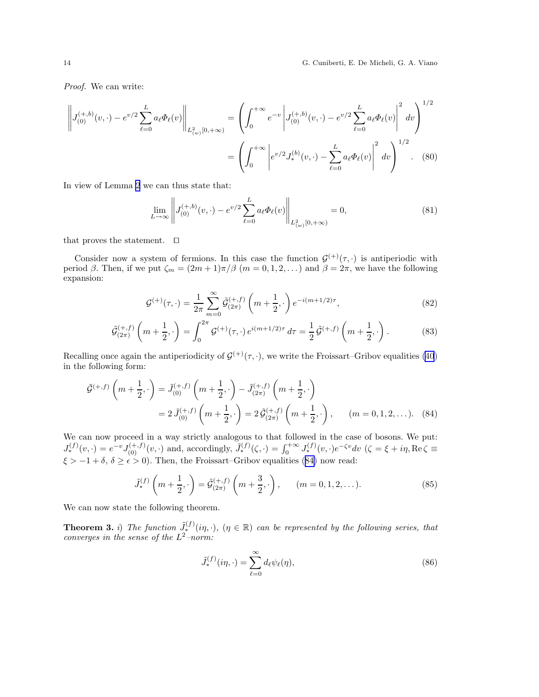<span id="page-13-0"></span>14 G. Cuniberti, E. De Micheli, G. A. Viano

Proof. We can write:

$$
\left\| J_{(0)}^{(+,b)}(v,\cdot) - e^{v/2} \sum_{\ell=0}^L a_\ell \Phi_\ell(v) \right\|_{L^2_{(w)}[0,+\infty)} = \left( \int_0^{+\infty} e^{-v} \left| J_{(0)}^{(+,b)}(v,\cdot) - e^{v/2} \sum_{\ell=0}^L a_\ell \Phi_\ell(v) \right|^2 dv \right)^{1/2}
$$

$$
= \left( \int_0^{+\infty} \left| e^{v/2} J_*^{(b)}(v,\cdot) - \sum_{\ell=0}^L a_\ell \Phi_\ell(v) \right|^2 dv \right)^{1/2} . \tag{80}
$$

In view of Lemma [2](#page-10-0) we can thus state that:

$$
\lim_{L \to \infty} \left\| J_{(0)}^{(+,b)}(v,\cdot) - e^{v/2} \sum_{\ell=0}^{L} a_{\ell} \Phi_{\ell}(v) \right\|_{L^2_{(w)}[0,+\infty)} = 0,
$$
\n(81)

that proves the statement. ⊓⊔

Consider now a system of fermions. In this case the function  $\mathcal{G}^{(+)}(\tau, \cdot)$  is antiperiodic with period  $\beta$ . Then, if we put  $\zeta_m = (2m+1)\pi/\beta$   $(m = 0, 1, 2, ...)$  and  $\beta = 2\pi$ , we have the following expansion:

$$
\mathcal{G}^{(+)}(\tau,\cdot) = \frac{1}{2\pi} \sum_{m=0}^{\infty} \tilde{\mathcal{G}}_{(2\pi)}^{(+,f)} \left(m + \frac{1}{2},\cdot\right) e^{-i(m+1/2)\tau},\tag{82}
$$

$$
\tilde{\mathcal{G}}_{(2\pi)}^{(+,f)}\left(m+\frac{1}{2},\cdot\right) = \int_0^{2\pi} \mathcal{G}^{(+)}(\tau,\cdot) e^{i(m+1/2)\tau} d\tau = \frac{1}{2} \tilde{\mathcal{G}}^{(+,f)}\left(m+\frac{1}{2},\cdot\right). \tag{83}
$$

Recalling once again the antiperiodicity of  $\mathcal{G}^{(+)}(\tau, \cdot)$ , we write the Froissart–Gribov equalities [\(40](#page-6-0)) in the following form:

$$
\tilde{\mathcal{G}}^{(+,f)}\left(m+\frac{1}{2},\cdot\right) = \tilde{J}_{(0)}^{(+,f)}\left(m+\frac{1}{2},\cdot\right) - \tilde{J}_{(2\pi)}^{(+,f)}\left(m+\frac{1}{2},\cdot\right)
$$

$$
= 2\,\tilde{J}_{(0)}^{(+,f)}\left(m+\frac{1}{2},\cdot\right) = 2\,\tilde{\mathcal{G}}_{(2\pi)}^{(+,f)}\left(m+\frac{1}{2},\cdot\right), \qquad (m=0,1,2,\ldots). \tag{84}
$$

We can now proceed in a way strictly analogous to that followed in the case of bosons. We put:  $J_{\ast}^{(f)}(v,\cdot)=e^{-v}J_{(0)}^{(+,f)}(v,\cdot)$  and, accordingly,  $\tilde{J}_{\ast}^{(f)}(\zeta,\cdot)=\int_{0}^{+\infty}J_{\ast}^{(f)}(v,\cdot)e^{-\zeta v}dv$   $(\zeta=\xi+i\eta,\text{Re}\,\zeta\equiv\eta)$  $\xi > -1 + \delta, \delta \ge \epsilon > 0$ . Then, the Froissart–Gribov equalities (84) now read:

$$
\tilde{J}_{*}^{(f)}\left(m+\frac{1}{2},\cdot\right) = \tilde{\mathcal{G}}_{(2\pi)}^{(+,f)}\left(m+\frac{3}{2},\cdot\right), \qquad (m=0,1,2,\dots). \tag{85}
$$

We can now state the following theorem.

**Theorem 3.** i) The function  $\tilde{J}_*^{(f)}(i\eta, \cdot)$ ,  $(\eta \in \mathbb{R})$  can be represented by the following series, that converges in the sense of the  $L^2$ -norm:

$$
\tilde{J}_*^{(f)}(i\eta,\cdot) = \sum_{\ell=0}^{\infty} d_{\ell} \psi_{\ell}(\eta),\tag{86}
$$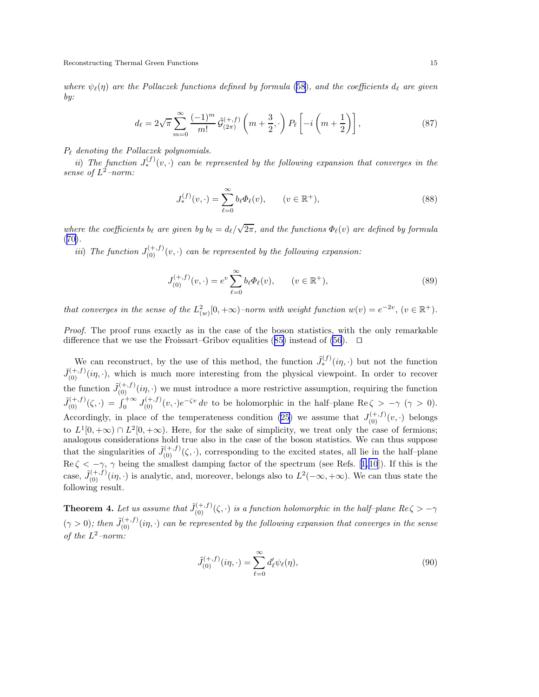where  $\psi_{\ell}(\eta)$  are the Pollaczek functions defined by formula ([58](#page-9-0)), and the coefficients  $d_{\ell}$  are given by:

$$
d_{\ell} = 2\sqrt{\pi} \sum_{m=0}^{\infty} \frac{(-1)^m}{m!} \tilde{\mathcal{G}}_{(2\pi)}^{(+,f)} \left(m + \frac{3}{2}, \cdot\right) P_{\ell} \left[-i\left(m + \frac{1}{2}\right)\right],\tag{87}
$$

 $P_{\ell}$  denoting the Pollaczek polynomials.

ii) The function  $J_*^{(f)}(v, \cdot)$  can be represented by the following expansion that converges in the sense of  $L^2$ -norm:

$$
J_*^{(f)}(v, \cdot) = \sum_{\ell=0}^{\infty} b_{\ell} \Phi_{\ell}(v), \qquad (v \in \mathbb{R}^+),
$$
 (88)

where the coefficients  $b_\ell$  are given by  $b_\ell = d_\ell/\sqrt{2\pi}$ , and the functions  $\Phi_\ell(v)$  are defined by formula ([70\)](#page-11-0).

*iii*) The function  $J_{(0)}^{(+,f)}(v, \cdot)$  can be represented by the following expansion:

$$
J_{(0)}^{(+,f)}(v,\cdot) = e^v \sum_{\ell=0}^{\infty} b_{\ell} \Phi_{\ell}(v), \qquad (v \in \mathbb{R}^+),
$$
 (89)

that converges in the sense of the  $L^2_{(w)}[0,+\infty)$ -norm with weight function  $w(v) = e^{-2v}$ ,  $(v \in \mathbb{R}^+)$ .

Proof. The proof runs exactly as in the case of the boson statistics, with the only remarkable difference that we use the Froissart–Gribov equalities ([85\)](#page-13-0) instead of [\(56](#page-9-0)). ⊓⊔

We can reconstruct, by the use of this method, the function  $\tilde{J}_*^{(f)}(i\eta, \cdot)$  but not the function  $\tilde{J}_{(0)}^{(+,f)}(i\eta,\cdot)$ , which is much more interesting from the physical viewpoint. In order to recover the function  $\tilde{J}_{(0)}^{(+,f)}(i\eta,\cdot)$  we must introduce a more restrictive assumption, requiring the function  $\tilde{J}_{(0)}^{(+,f)}(\zeta,\cdot) = \int_0^{+\infty} J_{(0)}^{(+,f)}(v,\cdot)e^{-\zeta v} dv$  to be holomorphic in the half-plane Re $\zeta > -\gamma$  ( $\gamma > 0$ ). Accordingly, in place of the temperateness condition [\(25](#page-4-0)) we assume that  $J_{(0)}^{(+,f)}(v, \cdot)$  belongs to  $L^1[0, +\infty) \cap L^2[0, +\infty)$ . Here, for the sake of simplicity, we treat only the case of fermions; analogous considerations hold true also in the case of the boson statistics. We can thus suppose that the singularities of  $\tilde{J}_{(0)}^{(+,f)}(\zeta, \cdot)$ , corresponding to the excited states, all lie in the half-plane  $\text{Re }\zeta < -\gamma$ ,  $\gamma$  being the smallest damping factor of the spectrum (see Refs. [[1,10](#page-22-0)]). If this is the case,  $\tilde{J}_{(0)}^{(+,f)}(i\eta,\cdot)$  is analytic, and, moreover, belongs also to  $L^2(-\infty,+\infty)$ . We can thus state the following result.

**Theorem 4.** Let us assume that  $\tilde{J}_{(0)}^{(+,f)}(\zeta,\cdot)$  is a function holomorphic in the half-plane Re $\zeta > -\gamma$  $(\gamma > 0)$ ; then  $\tilde{J}_{(0)}^{(+,f)}(i\eta, \cdot)$  can be represented by the following expansion that converges in the sense of the  $L^2$ -norm:

$$
\tilde{J}_{(0)}^{(+,f)}(i\eta,\cdot) = \sum_{\ell=0}^{\infty} d_{\ell}' \psi_{\ell}(\eta),\tag{90}
$$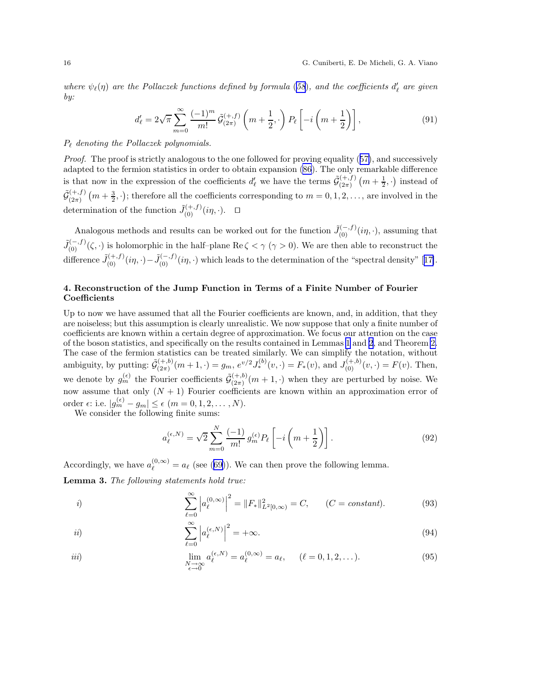<span id="page-15-0"></span>where  $\psi_{\ell}(\eta)$  are the Pollaczek functions defined by formula ([58](#page-9-0)), and the coefficients  $d'_{\ell}$  are given by:

$$
d'_{\ell} = 2\sqrt{\pi} \sum_{m=0}^{\infty} \frac{(-1)^m}{m!} \tilde{\mathcal{G}}_{(2\pi)}^{(+,f)} \left(m + \frac{1}{2}, \cdot\right) P_{\ell} \left[-i\left(m + \frac{1}{2}\right)\right],\tag{91}
$$

#### $P_{\ell}$  denoting the Pollaczek polynomials.

Proof. The proof is strictly analogous to the one followed for proving equality ([57\)](#page-9-0), and successively adapted to the fermion statistics in order to obtain expansion [\(86](#page-13-0)). The only remarkable difference is that now in the expression of the coefficients  $d'_{\ell}$  we have the terms  $\tilde{\mathcal{G}}_{(2\pi)}^{(+,f)}$  $\binom{m+1}{(2\pi)}(m+\frac{1}{2},\cdot)$  instead of  $\tilde{\mathcal{G}}_{(2\pi)}^{(+,f)}$  $\binom{(+,f)}{(2\pi)}$   $(m+\frac{3}{2},\cdot)$ ; therefore all the coefficients corresponding to  $m=0,1,2,\ldots$ , are involved in the determination of the function  $\tilde{J}_{(0)}^{(+,f)}(i\eta, \cdot)$ .  $\Box$ 

Analogous methods and results can be worked out for the function  $\tilde{J}_{(0)}^{(-,f)}(i\eta, \cdot)$ , assuming that  $\tilde{J}_{(0)}^{(-,f)}(\zeta, \cdot)$  is holomorphic in the half-plane Re  $\zeta < \gamma$  ( $\gamma > 0$ ). We are then able to reconstruct the difference  $\tilde{J}_{(0)}^{(+,f)}(i\eta,\cdot) - \tilde{J}_{(0)}^{(-,f)}(i\eta,\cdot)$  which leads to the determination of the "spectral density" [[17\]](#page-22-0).

# 4. Reconstruction of the Jump Function in Terms of a Finite Number of Fourier Coefficients

Up to now we have assumed that all the Fourier coefficients are known, and, in addition, that they are noiseless; but this assumption is clearly unrealistic. We now suppose that only a finite number of coefficients are known within a certain degree of approximation. We focus our attention on the case of the boson statistics, and specifically on the results contained in Lemmas [1](#page-9-0) and [2](#page-10-0), and Theorem [2.](#page-12-0) The case of the fermion statistics can be treated similarly. We can simplify the notation, without ambiguity, by putting:  $\tilde{\mathcal{G}}_{(2\pi)}^{(+,b)}$  $\binom{(+,b)}{(2\pi)}(m+1,\cdot)=g_m, e^{v/2}J_*^{(b)}(v,\cdot)=F_*(v), \text{ and } J_{(0)}^{(+,b)}(v,\cdot)=F(v).$  Then, we denote by  $g_m^{(\epsilon)}$  the Fourier coefficients  $\tilde{\mathcal{G}}_{(2\pi)}^{(+,b)}$  $\binom{(+,0)}{(2\pi)}(m+1, \cdot)$  when they are perturbed by noise. We now assume that only  $(N + 1)$  Fourier coefficients are known within an approximation error of order  $\epsilon$ : i.e.  $|g_m^{(\epsilon)} - g_m| \leq \epsilon$   $(m = 0, 1, 2, \dots, N)$ .

We consider the following finite sums:

$$
a_{\ell}^{(\epsilon,N)} = \sqrt{2} \sum_{m=0}^{N} \frac{(-1)}{m!} g_m^{(\epsilon)} P_{\ell} \left[ -i \left( m + \frac{1}{2} \right) \right]. \tag{92}
$$

Accordingly, we have  $a_{\ell}^{(0,\infty)} = a_{\ell}$  (see ([69\)](#page-11-0)). We can then prove the following lemma. Lemma 3. The following statements hold true:

*i)* 
$$
\sum_{\ell=0}^{\infty} \left| a_{\ell}^{(0,\infty)} \right|^2 = \|F_*\|_{L^2[0,\infty)}^2 = C, \qquad (C = constant).
$$
 (93)

$$
ii) \qquad \qquad \sum_{\ell=0}^{\infty} \left| a_{\ell}^{(\epsilon,N)} \right|^2 = +\infty. \tag{94}
$$

iii) 
$$
\lim_{\substack{N \to \infty \\ \epsilon \to 0}} a_{\ell}^{(\epsilon, N)} = a_{\ell}^{(0, \infty)} = a_{\ell}, \quad (\ell = 0, 1, 2, ...).
$$
 (95)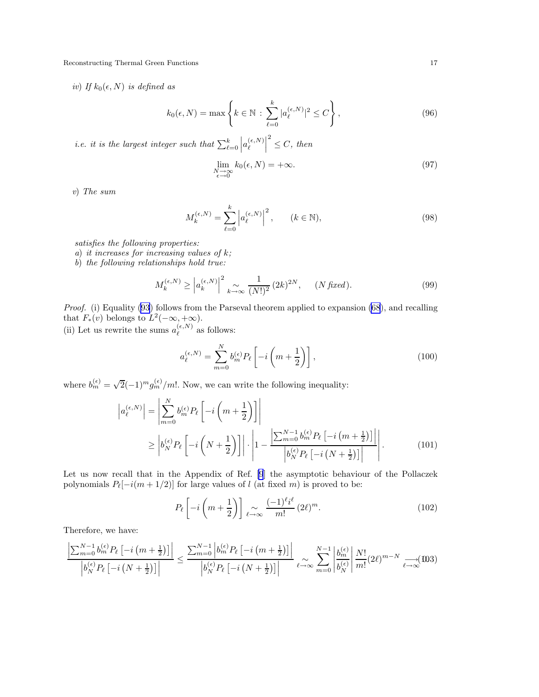<span id="page-16-0"></span>iv) If  $k_0(\epsilon, N)$  is defined as

$$
k_0(\epsilon, N) = \max\left\{k \in \mathbb{N} : \sum_{\ell=0}^k |a_{\ell}^{(\epsilon, N)}|^2 \le C\right\},\tag{96}
$$

*i.e.* it is the largest integer such that  $\sum_{\ell=0}^{k}$  $\left| a_{\ell}^{(\epsilon,N)}\right.$  $\ell$   $2 \leq C$ , then

$$
\lim_{\substack{N \to \infty \\ \epsilon \to 0}} k_0(\epsilon, N) = +\infty. \tag{97}
$$

v) The sum

$$
M_k^{(\epsilon, N)} = \sum_{\ell=0}^k \left| a_\ell^{(\epsilon, N)} \right|^2, \qquad (k \in \mathbb{N}), \tag{98}
$$

satisfies the following properties:

- a) it increases for increasing values of  $k$ ;
- b) the following relationships hold true:

$$
M_k^{(\epsilon, N)} \ge \left| a_k^{(\epsilon, N)} \right|^2 \underset{k \to \infty}{\sim} \frac{1}{(N!)^2} (2k)^{2N}, \quad (N \text{ fixed}). \tag{99}
$$

Proof. (i) Equality [\(93](#page-15-0)) follows from the Parseval theorem applied to expansion [\(68](#page-11-0)), and recalling that  $F_*(v)$  belongs to  $L^2(-\infty, +\infty)$ .

(ii) Let us rewrite the sums  $a_{\ell}^{(\epsilon,N)}$  $\ell^{(e,N)}$  as follows:

$$
a_{\ell}^{(\epsilon,N)} = \sum_{m=0}^{N} b_m^{(\epsilon)} P_{\ell} \left[ -i \left( m + \frac{1}{2} \right) \right],
$$
 (100)

where  $b_m^{(\epsilon)} = \sqrt{2}(-1)^m g_m^{(\epsilon)}/m!$ . Now, we can write the following inequality:

$$
\left| a_{\ell}^{(\epsilon,N)} \right| = \left| \sum_{m=0}^{N} b_{m}^{(\epsilon)} P_{\ell} \left[ -i \left( m + \frac{1}{2} \right) \right] \right|
$$
  
\n
$$
\geq \left| b_{N}^{(\epsilon)} P_{\ell} \left[ -i \left( N + \frac{1}{2} \right) \right] \right| \cdot \left| 1 - \frac{\left| \sum_{m=0}^{N-1} b_{m}^{(\epsilon)} P_{\ell} \left[ -i \left( m + \frac{1}{2} \right) \right] \right|}{\left| b_{N}^{(\epsilon)} P_{\ell} \left[ -i \left( N + \frac{1}{2} \right) \right] \right|} \right|.
$$
 (101)

Let us now recall that in the Appendix of Ref. [\[9](#page-22-0)] the asymptotic behaviour of the Pollaczek polynomials  $P_{\ell}[-i(m+1/2)]$  for large values of l (at fixed m) is proved to be:

$$
P_{\ell}\left[-i\left(m+\frac{1}{2}\right)\right] \underset{\ell \to \infty}{\sim} \frac{(-1)^{\ell}i^{\ell}}{m!} (2\ell)^{m}.
$$
 (102)

Therefore, we have:

$$
\frac{\left|\sum_{m=0}^{N-1}b_m^{(\epsilon)}P_{\ell}\left[-i\left(m+\frac{1}{2}\right)\right]\right|}{\left|b_N^{(\epsilon)}P_{\ell}\left[-i\left(N+\frac{1}{2}\right)\right]\right|} \le \frac{\sum_{m=0}^{N-1}\left|b_m^{(\epsilon)}P_{\ell}\left[-i\left(m+\frac{1}{2}\right)\right]\right|}{\left|b_N^{(\epsilon)}P_{\ell}\left[-i\left(N+\frac{1}{2}\right)\right]\right|} \sum_{\ell \to \infty} \sum_{m=0}^{N-1}\left|\frac{b_m^{(\epsilon)}}{b_N^{(\epsilon)}}\right| \frac{N!}{m!} (2\ell)^{m-N} \xrightarrow[\ell \to \infty]{}
$$
(D3)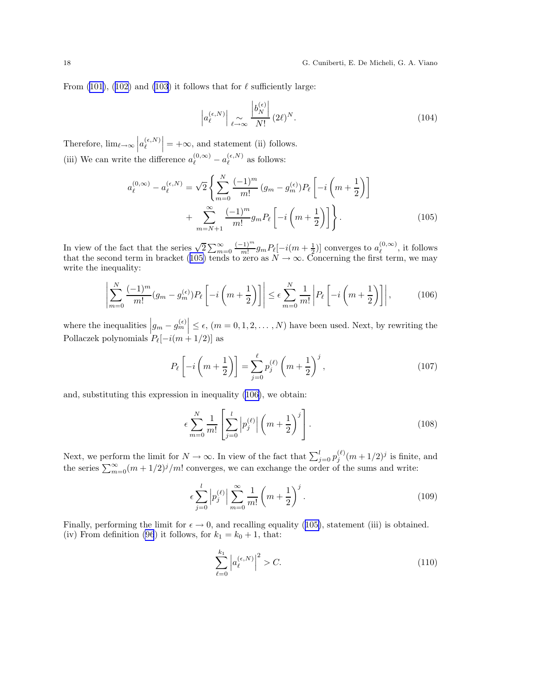<span id="page-17-0"></span>From [\(101](#page-16-0)), ([102\)](#page-16-0) and [\(103](#page-16-0)) it follows that for  $\ell$  sufficiently large:

$$
\left| a_{\ell}^{(\epsilon,N)} \right| \underset{\ell \to \infty}{\sim} \frac{\left| b_N^{(\epsilon)} \right|}{N!} (2\ell)^N. \tag{104}
$$

Therefore,  $\lim_{\ell \to \infty} \left| a_{\ell}^{(\epsilon,N)} \right|$  $\ell$  $= +\infty$ , and statement (ii) follows. (iii) We can write the difference  $a_{\ell}^{(0,\infty)} - a_{\ell}^{(\epsilon,N)}$  $\ell^{\epsilon,\prime\prime}$  as follows:

$$
a_{\ell}^{(0,\infty)} - a_{\ell}^{(\epsilon,N)} = \sqrt{2} \left\{ \sum_{m=0}^{N} \frac{(-1)^m}{m!} (g_m - g_m^{(\epsilon)}) P_{\ell} \left[ -i \left( m + \frac{1}{2} \right) \right] + \sum_{m=N+1}^{\infty} \frac{(-1)^m}{m!} g_m P_{\ell} \left[ -i \left( m + \frac{1}{2} \right) \right] \right\}.
$$
 (105)

In view of the fact that the series  $\sqrt{2} \sum_{m=0}^{\infty} \frac{(-1)^m}{m!}$  $\frac{(-1)^m}{m!} g_m P_\ell[-i(m+\frac{1}{2})]$  converges to  $a_\ell^{(0,\infty)}$  $\ell^{(0,\infty)}$ , it follows that the second term in bracket (105) tends to zero as  $N \to \infty$ . Concerning the first term, we may write the inequality:

$$
\left| \sum_{m=0}^{N} \frac{(-1)^m}{m!} (g_m - g_m^{(\epsilon)}) P_\ell \left[ -i \left( m + \frac{1}{2} \right) \right] \right| \le \epsilon \sum_{m=0}^{N} \frac{1}{m!} \left| P_\ell \left[ -i \left( m + \frac{1}{2} \right) \right] \right|, \tag{106}
$$

where the inequalities  $\left|g_m - g_m^{(\epsilon)}\right| \leq \epsilon$ ,  $(m = 0, 1, 2, ..., N)$  have been used. Next, by rewriting the Pollaczek polynomials  $P_{\ell}[-i(m+1/2)]$  as

$$
P_{\ell}\left[-i\left(m+\frac{1}{2}\right)\right] = \sum_{j=0}^{\ell} p_j^{(\ell)}\left(m+\frac{1}{2}\right)^j,\tag{107}
$$

and, substituting this expression in inequality (106), we obtain:

$$
\epsilon \sum_{m=0}^{N} \frac{1}{m!} \left[ \sum_{j=0}^{l} \left| p_j^{(\ell)} \right| \left( m + \frac{1}{2} \right)^j \right]. \tag{108}
$$

Next, we perform the limit for  $N \to \infty$ . In view of the fact that  $\sum_{j=0}^{l} p_j^{(\ell)} (m + 1/2)^j$  is finite, and the series  $\sum_{m=0}^{\infty} (m + 1/2)^j/m!$  converges, we can exchange the order of the sums and write:

$$
\epsilon \sum_{j=0}^{l} \left| p_j^{(\ell)} \right| \sum_{m=0}^{\infty} \frac{1}{m!} \left( m + \frac{1}{2} \right)^j.
$$
\n(109)

Finally, performing the limit for  $\epsilon \to 0$ , and recalling equality (105), statement (iii) is obtained. (iv) From definition [\(96](#page-16-0)) it follows, for  $k_1 = k_0 + 1$ , that:

$$
\sum_{\ell=0}^{k_1} \left| a_{\ell}^{(\epsilon,N)} \right|^2 > C. \tag{110}
$$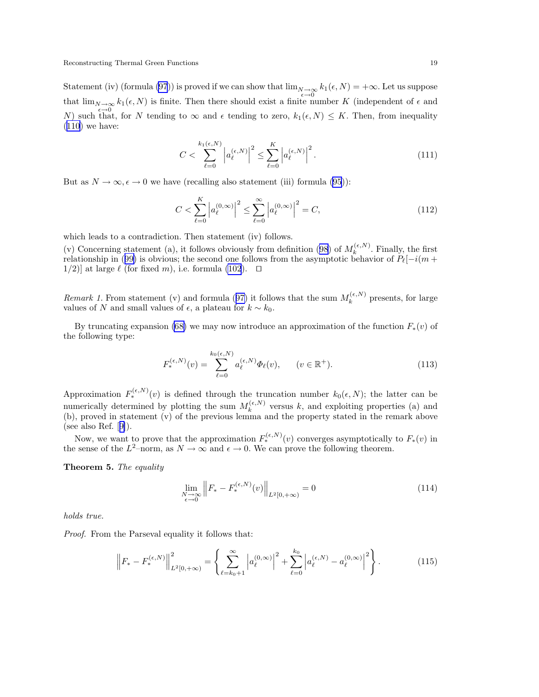<span id="page-18-0"></span>Statement (iv) (formula [\(97](#page-16-0))) is proved if we can show that  $\lim_{\substack{\epsilon \to 0 \ \epsilon \to 0}} k_1(\epsilon, N) = +\infty$ . Let us suppose that  $\lim_{N\to\infty} k_1(\epsilon, N)$  is finite. Then there should exist a finite number K (independent of  $\epsilon$  and N) such that, for N tending to  $\infty$  and  $\epsilon$  tending to zero,  $k_1(\epsilon, N) \leq K$ . Then, from inequality  $(110)$  $(110)$  we have:

$$
C < \sum_{\ell=0}^{k_1(\epsilon,N)} \left| a_{\ell}^{(\epsilon,N)} \right|^2 \le \sum_{\ell=0}^K \left| a_{\ell}^{(\epsilon,N)} \right|^2. \tag{111}
$$

But as  $N \to \infty, \epsilon \to 0$  we have (recalling also statement (iii) formula [\(95](#page-15-0))):

$$
C < \sum_{\ell=0}^{K} \left| a_{\ell}^{(0,\infty)} \right|^2 \le \sum_{\ell=0}^{\infty} \left| a_{\ell}^{(0,\infty)} \right|^2 = C,\tag{112}
$$

which leads to a contradiction. Then statement (iv) follows.

(v) Concerning statement (a), it follows obviously from definition ([98\)](#page-16-0) of  $M_k^{(\epsilon,N)}$  $\kappa^{(e,N)}$ . Finally, the first relationship in ([99\)](#page-16-0) is obvious; the second one follows from the asymptotic behavior of  $P_{\ell}[-i(m + \ell_1)(m + \ell_2)]$ 1/2)] at large  $\ell$  (for fixed m), i.e. formula [\(102](#page-16-0)). □

Remark 1. From statement (v) and formula ([97\)](#page-16-0) it follows that the sum  $M_k^{(\epsilon,N)}$  $k^{(\epsilon,N)}$  presents, for large values of N and small values of  $\epsilon$ , a plateau for  $k \sim k_0$ .

By truncating expansion [\(68\)](#page-11-0) we may now introduce an approximation of the function  $F_*(v)$  of the following type:

$$
F_*^{(\epsilon,N)}(v) = \sum_{\ell=0}^{k_0(\epsilon,N)} a_\ell^{(\epsilon,N)} \Phi_\ell(v), \qquad (v \in \mathbb{R}^+). \tag{113}
$$

Approximation  $F_*^{(\epsilon,N)}(v)$  is defined through the truncation number  $k_0(\epsilon,N)$ ; the latter can be numerically determined by plotting the sum  $M_k^{(\epsilon,N)}$  $k_k^{(\epsilon,N)}$  versus k, and exploiting properties (a) and (b), proved in statement (v) of the previous lemma and the property stated in the remark above (seealso Ref.  $[9]$  $[9]$ ).

Now, we want to prove that the approximation  $F_*^{(\epsilon,N)}(v)$  converges asymptotically to  $F_*(v)$  in the sense of the  $L^2$ -norm, as  $N \to \infty$  and  $\epsilon \to 0$ . We can prove the following theorem.

Theorem 5. The equality

$$
\lim_{\substack{N \to \infty \\ \epsilon \to 0}} \left\| F_* - F_*^{(\epsilon, N)}(v) \right\|_{L^2[0, +\infty)} = 0 \tag{114}
$$

holds true.

Proof. From the Parseval equality it follows that:

$$
\left\|F_{*} - F_{*}^{(\epsilon, N)}\right\|_{L^{2}[0, +\infty)}^{2} = \left\{\sum_{\ell=k_{0}+1}^{\infty} \left|a_{\ell}^{(0, \infty)}\right|^{2} + \sum_{\ell=0}^{k_{0}} \left|a_{\ell}^{(\epsilon, N)} - a_{\ell}^{(0, \infty)}\right|^{2}\right\}.
$$
 (115)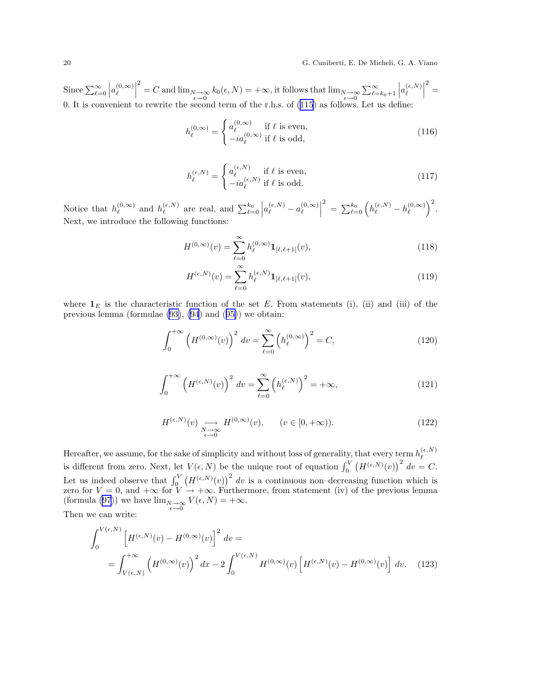<span id="page-19-0"></span>20 G. Cuniberti, E. De Micheli, G. A. Viano

Since  $\sum_{\ell=0}^{\infty}$  $\Big|a_\ell^{(0,\infty)}$  $\ell$   $\sum_{\epsilon=0}^{2}$  = C and  $\lim_{N\to\infty} k_0(\epsilon, N) = +\infty$ , it follows that  $\lim_{N\to\infty} \sum_{\ell=k_0+1}^{\infty}$  $\left| a_{\ell}^{(\epsilon,N)}\right.$  $\ell$   $2 =$ 0. It is convenient to rewrite the second term of the r.h.s. of ([115](#page-18-0)) as follows. Let us define:

$$
h_{\ell}^{(0,\infty)} = \begin{cases} a_{\ell}^{(0,\infty)} & \text{if } \ell \text{ is even,} \\ -ia_{\ell}^{(0,\infty)} & \text{if } \ell \text{ is odd,} \end{cases}
$$
(116)

$$
h_{\ell}^{(\epsilon,N)} = \begin{cases} a_{\ell}^{(\epsilon,N)} & \text{if } \ell \text{ is even,} \\ -ia_{\ell}^{(\epsilon,N)} & \text{if } \ell \text{ is odd.} \end{cases}
$$
 (117)

Notice that  $h_{\ell}^{(0,\infty)}$  $\ell^{(0,\infty)}$  and  $h_{\ell}^{(\epsilon,N)}$  $\ell^{\epsilon, N)}$  are real, and  $\sum_{\ell=0}^{k_0}$  $\Big|a_\ell^{(\epsilon,N)}-a_\ell^{(0,\infty)}$  $\ell$   $\sum_{\ell=0}^{2}\Big(h_{\ell}^{(\epsilon,N)}-h_{\ell}^{(0,\infty)}\Big)$  $\left(\begin{smallmatrix} (0,\infty) \ \ell \end{smallmatrix}\right)^2.$ Next, we introduce the following functions:

$$
H^{(0,\infty)}(v) = \sum_{\ell=0}^{\infty} h_{\ell}^{(0,\infty)} \mathbf{1}_{[\ell,\ell+1]}(v),
$$
\n(118)

$$
H^{(\epsilon,N)}(v) = \sum_{\ell=0}^{\infty} h_{\ell}^{(\epsilon,N)} \mathbf{1}_{[\ell,\ell+1]}(v),
$$
\n(119)

where  $\mathbf{1}_E$  is the characteristic function of the set E. From statements (i), (ii) and (iii) of the previous lemma (formulae [\(93\)](#page-15-0), [\(94](#page-15-0)) and ([95\)](#page-15-0)) we obtain:

$$
\int_0^{+\infty} \left( H^{(0,\infty)}(v) \right)^2 dv = \sum_{\ell=0}^{\infty} \left( h_{\ell}^{(0,\infty)} \right)^2 = C,
$$
 (120)

$$
\int_0^{+\infty} \left( H^{(\epsilon,N)}(v) \right)^2 dv = \sum_{\ell=0}^{\infty} \left( h_{\ell}^{(\epsilon,N)} \right)^2 = +\infty, \tag{121}
$$

$$
H^{(\epsilon,N)}(v) \underset{\epsilon \to 0}{\longrightarrow} H^{(0,\infty)}(v), \qquad (v \in [0,+\infty)).
$$
\n(122)

Hereafter, we assume, for the sake of simplicity and without loss of generality, that every term  $h_{\ell}^{(\epsilon,N)}$  $\ell$ is different from zero. Next, let  $V(\epsilon, N)$  be the unique root of equation  $\int_0^V (H^{(\epsilon, N)}(v))^2 dv = C$ . Let us indeed observe that  $\int_0^V (H^{(\epsilon,N)}(v))^2 dv$  is a continuous non-decreasing function which is zero for  $V = 0$ , and  $+\infty$  for  $V \to +\infty$ . Furthermore, from statement (iv) of the previous lemma (formula [\(97](#page-16-0))) we have  $\lim_{\substack{N \to \infty \\ \epsilon \to 0}} V(\epsilon, N) = +\infty$ .

Then we can write:

$$
\int_{0}^{V(\epsilon,N)} \left[ H^{(\epsilon,N)}(v) - H^{(0,\infty)}(v) \right]^2 dv =
$$
\n
$$
= \int_{V(\epsilon,N)}^{+\infty} \left( H^{(0,\infty)}(v) \right)^2 dx - 2 \int_{0}^{V(\epsilon,N)} H^{(0,\infty)}(v) \left[ H^{(\epsilon,N)}(v) - H^{(0,\infty)}(v) \right] dv. \tag{123}
$$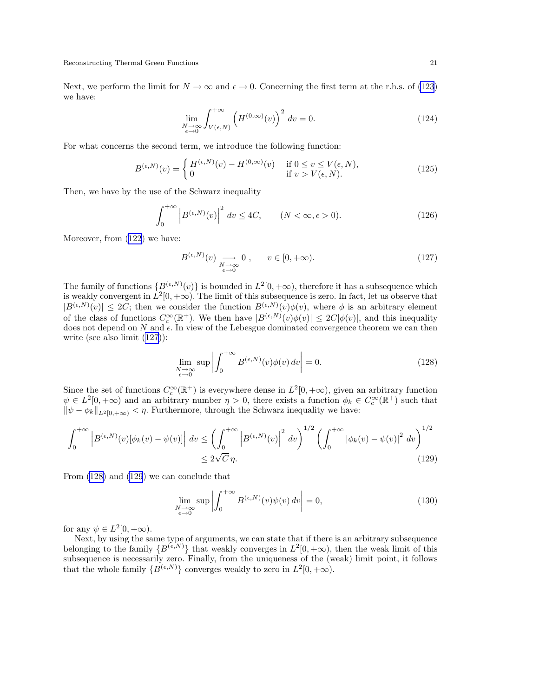Next, we perform the limit for  $N \to \infty$  and  $\epsilon \to 0$ . Concerning the first term at the r.h.s. of [\(123](#page-19-0)) we have:

$$
\lim_{\substack{N \to \infty \\ \epsilon \to 0}} \int_{V(\epsilon, N)}^{+\infty} \left( H^{(0, \infty)}(v) \right)^2 dv = 0.
$$
 (124)

For what concerns the second term, we introduce the following function:

$$
B^{(\epsilon,N)}(v) = \begin{cases} H^{(\epsilon,N)}(v) - H^{(0,\infty)}(v) & \text{if } 0 \le v \le V(\epsilon,N), \\ 0 & \text{if } v > V(\epsilon,N). \end{cases}
$$
(125)

Then, we have by the use of the Schwarz inequality

$$
\int_0^{+\infty} \left| B^{(\epsilon,N)}(v) \right|^2 dv \le 4C, \qquad (N < \infty, \epsilon > 0). \tag{126}
$$

Moreover, from ([122](#page-19-0)) we have:

$$
B^{(\epsilon,N)}(v) \underset{\epsilon \to 0}{\longrightarrow} 0, \qquad v \in [0, +\infty). \tag{127}
$$

The family of functions  $\{B^{(\epsilon,N)}(v)\}$  is bounded in  $L^2[0,+\infty)$ , therefore it has a subsequence which is weakly convergent in  $L^2[0, +\infty)$ . The limit of this subsequence is zero. In fact, let us observe that  $|B^{(\epsilon,N)}(v)| \leq 2C$ ; then we consider the function  $B^{(\epsilon,N)}(v)\phi(v)$ , where  $\phi$  is an arbitrary element of the class of functions  $C_c^{\infty}(\mathbb{R}^+)$ . We then have  $|B^{(\epsilon,N)}(v)\phi(v)| \leq 2C|\phi(v)|$ , and this inequality does not depend on N and  $\epsilon$ . In view of the Lebesgue dominated convergence theorem we can then write (see also limit (127)):

$$
\lim_{\substack{N \to \infty \\ \epsilon \to 0}} \sup \left| \int_0^{+\infty} B^{(\epsilon, N)}(v) \phi(v) \, dv \right| = 0. \tag{128}
$$

Since the set of functions  $C_c^{\infty}(\mathbb{R}^+)$  is everywhere dense in  $L^2[0, +\infty)$ , given an arbitrary function  $\psi \in L^2[0, +\infty)$  and an arbitrary number  $\eta > 0$ , there exists a function  $\phi_k \in C_c^{\infty}(\mathbb{R}^+)$  such that  $\|\psi - \phi_k\|_{L^2[0,+\infty)} < \eta$ . Furthermore, through the Schwarz inequality we have:

$$
\int_0^{+\infty} \left| B^{(\epsilon,N)}(v)[\phi_k(v) - \psi(v)] \right| dv \le \left( \int_0^{+\infty} \left| B^{(\epsilon,N)}(v) \right|^2 dv \right)^{1/2} \left( \int_0^{+\infty} \left| \phi_k(v) - \psi(v) \right|^2 dv \right)^{1/2} \le 2\sqrt{C} \eta.
$$
\n(129)

From (128) and (129) we can conclude that

$$
\lim_{\substack{N \to \infty \\ \epsilon \to 0}} \sup \left| \int_0^{+\infty} B^{(\epsilon, N)}(v) \psi(v) \, dv \right| = 0,\tag{130}
$$

for any  $\psi \in L^2[0, +\infty)$ .

Next, by using the same type of arguments, we can state that if there is an arbitrary subsequence belonging to the family  $\{B^{(\epsilon,N)}\}$  that weakly converges in  $L^2[0,+\infty)$ , then the weak limit of this subsequence is necessarily zero. Finally, from the uniqueness of the (weak) limit point, it follows that the whole family  $\{B^{(\epsilon,N)}\}$  converges weakly to zero in  $L^2[0, +\infty)$ .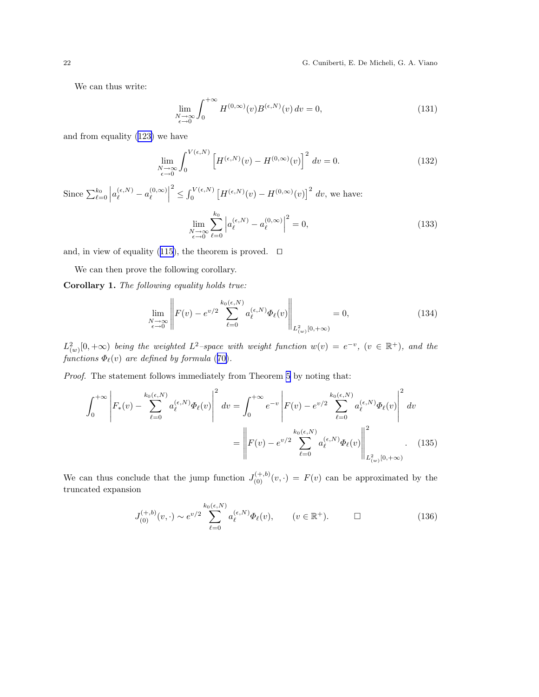22 G. Cuniberti, E. De Micheli, G. A. Viano

We can thus write:

$$
\lim_{\substack{N \to \infty \\ \epsilon \to 0}} \int_0^{+\infty} H^{(0,\infty)}(v) B^{(\epsilon,N)}(v) dv = 0,
$$
\n(131)

and from equality ([123\)](#page-19-0) we have

$$
\lim_{\substack{N \to \infty \\ \epsilon \to 0}} \int_0^{V(\epsilon, N)} \left[ H^{(\epsilon, N)}(v) - H^{(0, \infty)}(v) \right]^2 dv = 0.
$$
 (132)

Since  $\sum_{\ell=0}^{k_0}$  $\Big|a_\ell^{(\epsilon,N)}-a_\ell^{(0,\infty)}$  $\ell$  2  $\leq \int_0^{V(\epsilon,N)} \left[ H^{(\epsilon,N)}(v) - H^{(0,\infty)}(v) \right]^2 dv$ , we have: lim  $N\rightarrow\infty$ <br> $\epsilon\rightarrow0$  $\sum_{k=1}^{k_0}$  $_{\ell=0}$  $\Big|a_\ell^{(\epsilon,N)}-a_\ell^{(0,\infty)}$  $\ell$  2  $(133)$ 

and, in view of equality ([115\)](#page-18-0), the theorem is proved. ⊓⊔

We can then prove the following corollary.

Corollary 1. The following equality holds true:

$$
\lim_{\substack{N \to \infty \\ \epsilon \to 0}} \left\| F(v) - e^{v/2} \sum_{\ell=0}^{k_0(\epsilon, N)} a_{\ell}^{(\epsilon, N)} \Phi_{\ell}(v) \right\|_{L^2_{(w)}[0, +\infty)} = 0, \tag{134}
$$

 $L^2_{(w)}[0,+\infty)$  being the weighted  $L^2$ -space with weight function  $w(v) = e^{-v}$ ,  $(v \in \mathbb{R}^+)$ , and the functions  $\Phi_{\ell}(v)$  are defined by formula ([70\)](#page-11-0).

Proof. The statement follows immediately from Theorem [5](#page-18-0) by noting that:

$$
\int_{0}^{+\infty} \left| F_{*}(v) - \sum_{\ell=0}^{k_{0}(\epsilon, N)} a_{\ell}^{(\epsilon, N)} \Phi_{\ell}(v) \right|^{2} dv = \int_{0}^{+\infty} e^{-v} \left| F(v) - e^{v/2} \sum_{\ell=0}^{k_{0}(\epsilon, N)} a_{\ell}^{(\epsilon, N)} \Phi_{\ell}(v) \right|^{2} dv
$$

$$
= \left\| F(v) - e^{v/2} \sum_{\ell=0}^{k_{0}(\epsilon, N)} a_{\ell}^{(\epsilon, N)} \Phi_{\ell}(v) \right\|_{L^{2}_{(w)}[0, +\infty)}^{2} . \tag{135}
$$

We can thus conclude that the jump function  $J_{(0)}^{(+,b)}(v, \cdot) = F(v)$  can be approximated by the truncated expansion

$$
J_{(0)}^{(+,b)}(v,\cdot) \sim e^{v/2} \sum_{\ell=0}^{k_0(\epsilon,N)} a_{\ell}^{(\epsilon,N)} \Phi_{\ell}(v), \qquad (v \in \mathbb{R}^+). \qquad \Box \tag{136}
$$